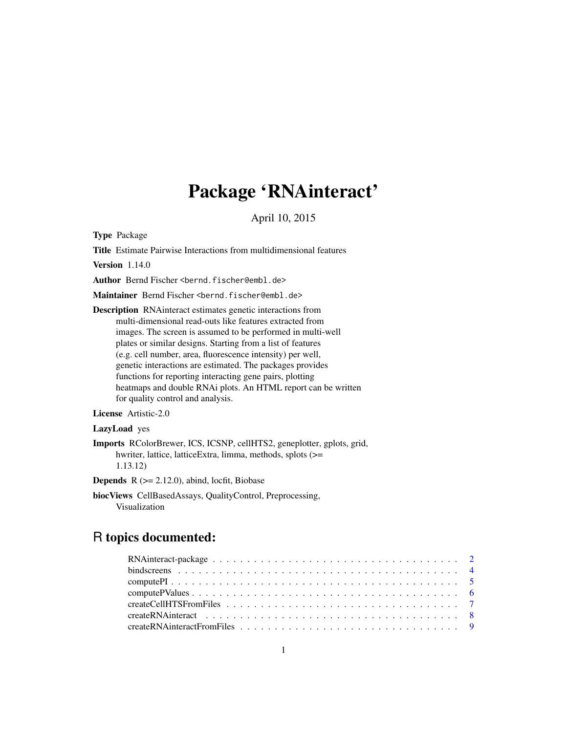# Package 'RNAinteract'

April 10, 2015

<span id="page-0-0"></span>Type Package

Title Estimate Pairwise Interactions from multidimensional features

Version 1.14.0

Author Bernd Fischer <br/>bernd.fischer@embl.de>

Maintainer Bernd Fischer <bernd.fischer@embl.de>

Description RNAinteract estimates genetic interactions from multi-dimensional read-outs like features extracted from images. The screen is assumed to be performed in multi-well plates or similar designs. Starting from a list of features (e.g. cell number, area, fluorescence intensity) per well, genetic interactions are estimated. The packages provides functions for reporting interacting gene pairs, plotting heatmaps and double RNAi plots. An HTML report can be written for quality control and analysis.

License Artistic-2.0

#### LazyLoad yes

Imports RColorBrewer, ICS, ICSNP, cellHTS2, geneplotter, gplots, grid, hwriter, lattice, latticeExtra, limma, methods, splots (>= 1.13.12)

**Depends**  $R$  ( $>= 2.12.0$ ), abind, locfit, Biobase

biocViews CellBasedAssays, QualityControl, Preprocessing, Visualization

# R topics documented: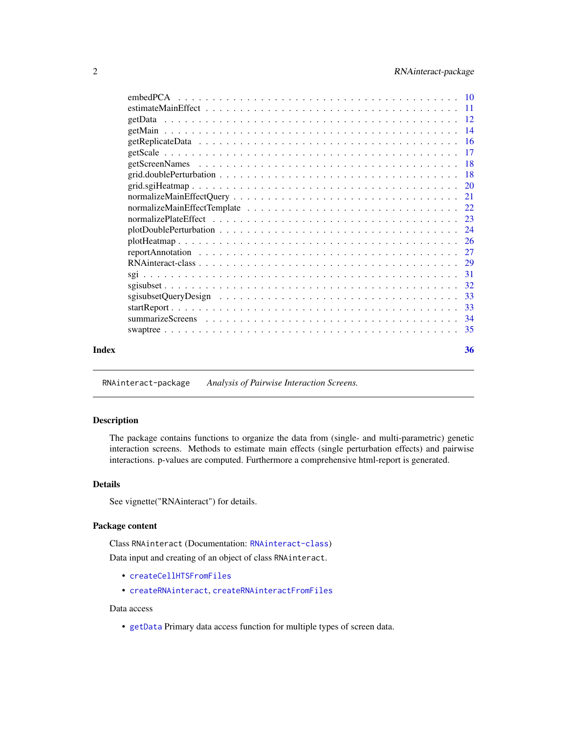<span id="page-1-0"></span>

| Index |          | 36 |
|-------|----------|----|
|       |          |    |
|       |          |    |
|       |          |    |
|       |          |    |
|       |          |    |
|       |          |    |
|       |          |    |
|       |          |    |
|       |          |    |
|       |          |    |
|       |          |    |
|       |          |    |
|       |          |    |
|       |          |    |
|       |          |    |
|       |          |    |
|       |          |    |
|       |          |    |
|       |          |    |
|       |          |    |
|       |          |    |
|       | embedPCA |    |

<span id="page-1-2"></span>RNAinteract-package *Analysis of Pairwise Interaction Screens.*

#### <span id="page-1-1"></span>Description

The package contains functions to organize the data from (single- and multi-parametric) genetic interaction screens. Methods to estimate main effects (single perturbation effects) and pairwise interactions. p-values are computed. Furthermore a comprehensive html-report is generated.

#### Details

See vignette("RNAinteract") for details.

#### Package content

Class RNAinteract (Documentation: [RNAinteract-class](#page-28-1))

Data input and creating of an object of class RNAinteract.

- [createCellHTSFromFiles](#page-6-1)
- [createRNAinteract](#page-7-1), [createRNAinteractFromFiles](#page-8-1)

#### Data access

• [getData](#page-11-1) Primary data access function for multiple types of screen data.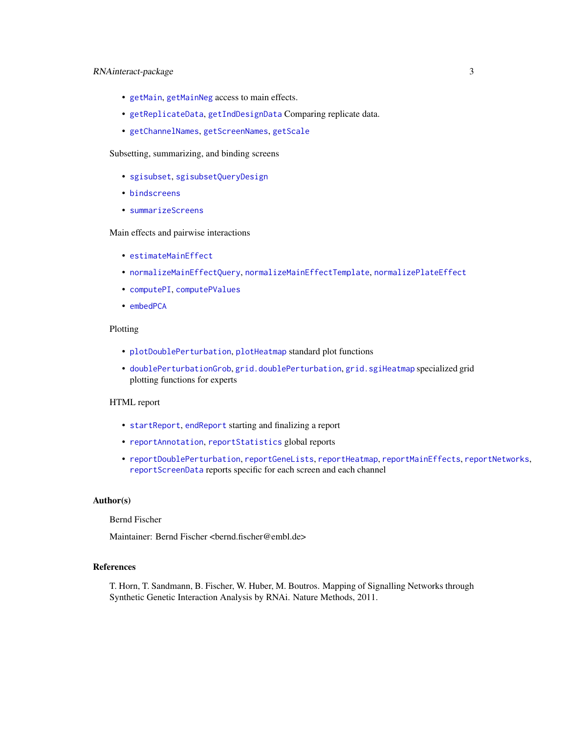# RNAinteract-package 3

- [getMain](#page-13-1), [getMainNeg](#page-13-2) access to main effects.
- [getReplicateData](#page-15-1), [getIndDesignData](#page-15-2) Comparing replicate data.
- [getChannelNames](#page-17-1), [getScreenNames](#page-17-2), [getScale](#page-16-1)

# Subsetting, summarizing, and binding screens

- [sgisubset](#page-31-1), [sgisubsetQueryDesign](#page-32-1)
- [bindscreens](#page-3-1)
- [summarizeScreens](#page-33-1)

#### Main effects and pairwise interactions

- [estimateMainEffect](#page-10-1)
- [normalizeMainEffectQuery](#page-20-1), [normalizeMainEffectTemplate](#page-21-1), [normalizePlateEffect](#page-22-1)
- [computePI](#page-4-1), [computePValues](#page-5-1)
- [embedPCA](#page-9-1)

#### Plotting

- [plotDoublePerturbation](#page-23-1), [plotHeatmap](#page-25-1) standard plot functions
- [doublePerturbationGrob](#page-17-3), [grid.doublePerturbation](#page-17-4), [grid.sgiHeatmap](#page-19-1) specialized grid plotting functions for experts

#### HTML report

- [startReport](#page-32-2), [endReport](#page-32-3) starting and finalizing a report
- [reportAnnotation](#page-26-1), [reportStatistics](#page-26-2) global reports
- [reportDoublePerturbation](#page-26-2), [reportGeneLists](#page-26-2), [reportHeatmap](#page-26-2), [reportMainEffects](#page-26-2), [reportNetworks](#page-26-2), [reportScreenData](#page-26-2) reports specific for each screen and each channel

#### Author(s)

#### Bernd Fischer

Maintainer: Bernd Fischer <bernd.fischer@embl.de>

#### References

T. Horn, T. Sandmann, B. Fischer, W. Huber, M. Boutros. Mapping of Signalling Networks through Synthetic Genetic Interaction Analysis by RNAi. Nature Methods, 2011.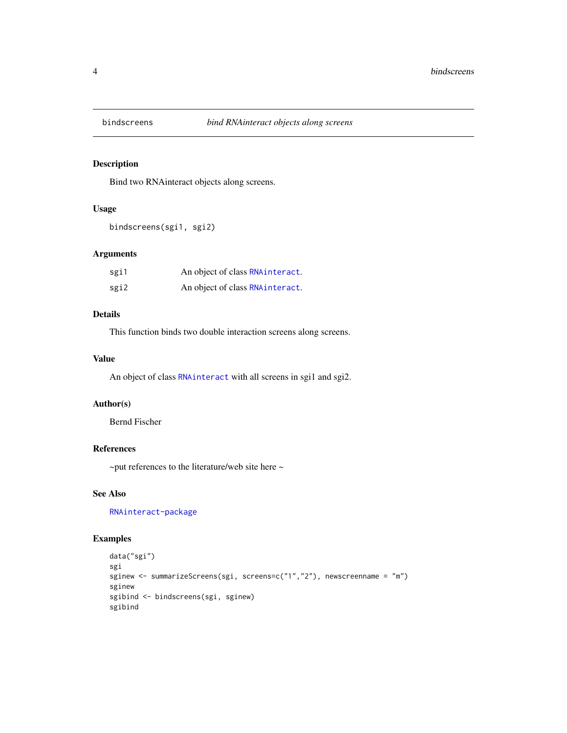<span id="page-3-1"></span><span id="page-3-0"></span>

# Description

Bind two RNAinteract objects along screens.

# Usage

```
bindscreens(sgi1, sgi2)
```
# Arguments

| sgi1 | An object of class RNAinteract.  |
|------|----------------------------------|
| sgi2 | An object of class RNA interact. |

# Details

This function binds two double interaction screens along screens.

#### Value

An object of class [RNAinteract](#page-1-1) with all screens in sgi1 and sgi2.

#### Author(s)

Bernd Fischer

# References

~put references to the literature/web site here ~

#### See Also

[RNAinteract-package](#page-1-2)

# Examples

```
data("sgi")
sgi
sginew <- summarizeScreens(sgi, screens=c("1","2"), newscreenname = "m")
sginew
sgibind <- bindscreens(sgi, sginew)
sgibind
```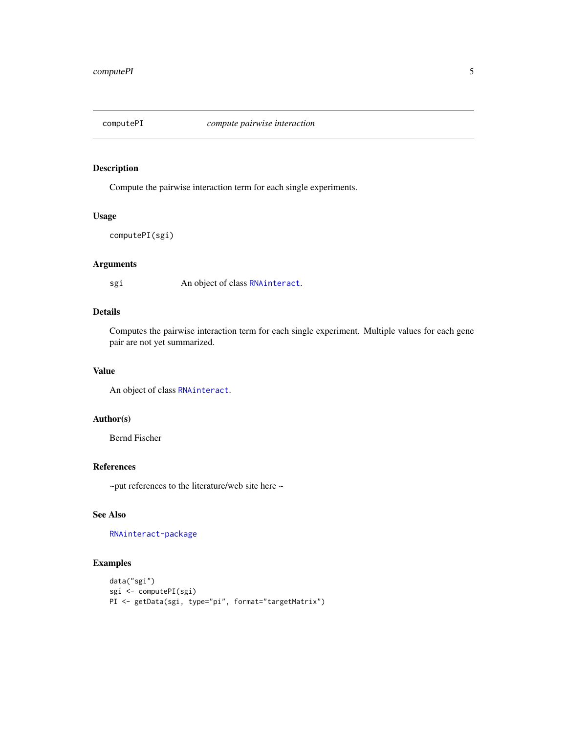<span id="page-4-1"></span><span id="page-4-0"></span>

#### Description

Compute the pairwise interaction term for each single experiments.

#### Usage

```
computePI(sgi)
```
# Arguments

sgi An object of class [RNAinteract](#page-1-1).

# Details

Computes the pairwise interaction term for each single experiment. Multiple values for each gene pair are not yet summarized.

#### Value

An object of class [RNAinteract](#page-1-1).

# Author(s)

Bernd Fischer

#### References

 $\sim$ put references to the literature/web site here  $\sim$ 

# See Also

[RNAinteract-package](#page-1-2)

# Examples

```
data("sgi")
sgi <- computePI(sgi)
PI <- getData(sgi, type="pi", format="targetMatrix")
```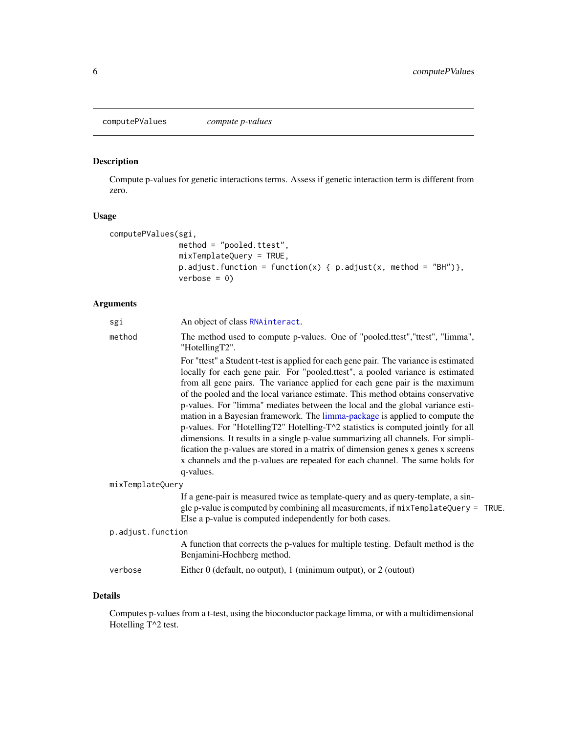<span id="page-5-1"></span><span id="page-5-0"></span>computePValues *compute p-values*

# Description

Compute p-values for genetic interactions terms. Assess if genetic interaction term is different from zero.

#### Usage

```
computePValues(sgi,
               method = "pooled.ttest",
               mixTemplateQuery = TRUE,
               p.adjust.function = function(x) { p.addjust(x, method = "BH")},
               verbose = 0)
```
# Arguments

| method<br>The method used to compute p-values. One of "pooled.ttest", "ttest", "limma",<br>"HotellingT2".<br>For "ttest" a Student t-test is applied for each gene pair. The variance is estimated<br>locally for each gene pair. For "pooled.ttest", a pooled variance is estimated<br>from all gene pairs. The variance applied for each gene pair is the maximum<br>of the pooled and the local variance estimate. This method obtains conservative<br>p-values. For "limma" mediates between the local and the global variance esti-<br>mation in a Bayesian framework. The limma-package is applied to compute the<br>p-values. For "HotellingT2" Hotelling-T^2 statistics is computed jointly for all<br>dimensions. It results in a single p-value summarizing all channels. For simpli-<br>fication the p-values are stored in a matrix of dimension genes x genes x screens<br>x channels and the p-values are repeated for each channel. The same holds for<br>q-values.<br>mixTemplateQuery<br>If a gene-pair is measured twice as template-query and as query-template, a sin-<br>Else a p-value is computed independently for both cases.<br>p.adjust.function<br>A function that corrects the p-values for multiple testing. Default method is the<br>Benjamini-Hochberg method.<br>Either $0$ (default, no output), 1 (minimum output), or 2 (output)<br>verbose | sgi | An object of class RNAinteract.                                                    |  |  |  |
|---------------------------------------------------------------------------------------------------------------------------------------------------------------------------------------------------------------------------------------------------------------------------------------------------------------------------------------------------------------------------------------------------------------------------------------------------------------------------------------------------------------------------------------------------------------------------------------------------------------------------------------------------------------------------------------------------------------------------------------------------------------------------------------------------------------------------------------------------------------------------------------------------------------------------------------------------------------------------------------------------------------------------------------------------------------------------------------------------------------------------------------------------------------------------------------------------------------------------------------------------------------------------------------------------------------------------------------------------------------------------------|-----|------------------------------------------------------------------------------------|--|--|--|
|                                                                                                                                                                                                                                                                                                                                                                                                                                                                                                                                                                                                                                                                                                                                                                                                                                                                                                                                                                                                                                                                                                                                                                                                                                                                                                                                                                                 |     |                                                                                    |  |  |  |
|                                                                                                                                                                                                                                                                                                                                                                                                                                                                                                                                                                                                                                                                                                                                                                                                                                                                                                                                                                                                                                                                                                                                                                                                                                                                                                                                                                                 |     |                                                                                    |  |  |  |
|                                                                                                                                                                                                                                                                                                                                                                                                                                                                                                                                                                                                                                                                                                                                                                                                                                                                                                                                                                                                                                                                                                                                                                                                                                                                                                                                                                                 |     |                                                                                    |  |  |  |
|                                                                                                                                                                                                                                                                                                                                                                                                                                                                                                                                                                                                                                                                                                                                                                                                                                                                                                                                                                                                                                                                                                                                                                                                                                                                                                                                                                                 |     | gle p-value is computed by combining all measurements, if mixTemplateQuery = TRUE. |  |  |  |
|                                                                                                                                                                                                                                                                                                                                                                                                                                                                                                                                                                                                                                                                                                                                                                                                                                                                                                                                                                                                                                                                                                                                                                                                                                                                                                                                                                                 |     |                                                                                    |  |  |  |
|                                                                                                                                                                                                                                                                                                                                                                                                                                                                                                                                                                                                                                                                                                                                                                                                                                                                                                                                                                                                                                                                                                                                                                                                                                                                                                                                                                                 |     |                                                                                    |  |  |  |
|                                                                                                                                                                                                                                                                                                                                                                                                                                                                                                                                                                                                                                                                                                                                                                                                                                                                                                                                                                                                                                                                                                                                                                                                                                                                                                                                                                                 |     |                                                                                    |  |  |  |

# Details

Computes p-values from a t-test, using the bioconductor package limma, or with a multidimensional Hotelling T^2 test.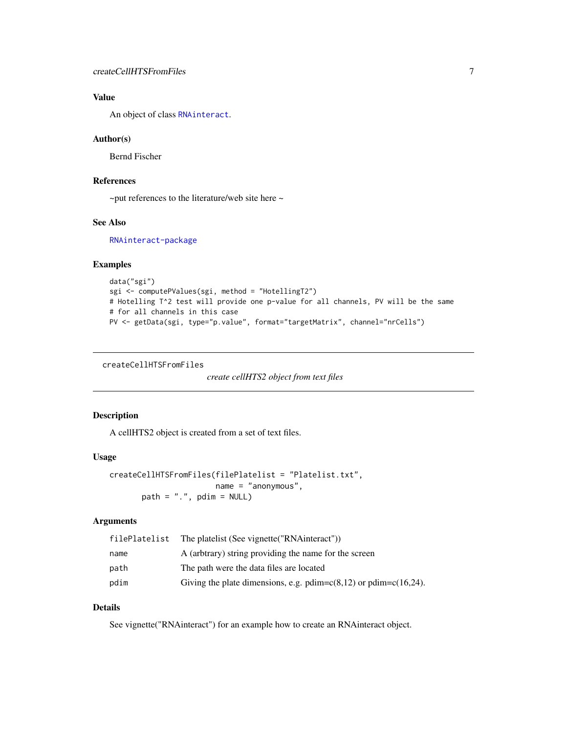# <span id="page-6-0"></span>Value

An object of class [RNAinteract](#page-1-1).

#### Author(s)

Bernd Fischer

#### References

~put references to the literature/web site here ~

#### See Also

[RNAinteract-package](#page-1-2)

# Examples

```
data("sgi")
sgi <- computePValues(sgi, method = "HotellingT2")
# Hotelling T^2 test will provide one p-value for all channels, PV will be the same
# for all channels in this case
PV <- getData(sgi, type="p.value", format="targetMatrix", channel="nrCells")
```
<span id="page-6-1"></span>createCellHTSFromFiles

```
create cellHTS2 object from text files
```
# Description

A cellHTS2 object is created from a set of text files.

# Usage

```
createCellHTSFromFiles(filePlatelist = "Platelist.txt",
                      name = "anonymous",
      path = ".", pdim = NULL
```
# Arguments

| filePlatelist | The platelist (See vignette ("RNA interact"))                           |
|---------------|-------------------------------------------------------------------------|
| name          | A (arbitrary) string providing the name for the screen                  |
| path          | The path were the data files are located                                |
| pdim          | Giving the plate dimensions, e.g. pdim= $c(8,12)$ or pdim= $c(16,24)$ . |

# Details

See vignette("RNAinteract") for an example how to create an RNAinteract object.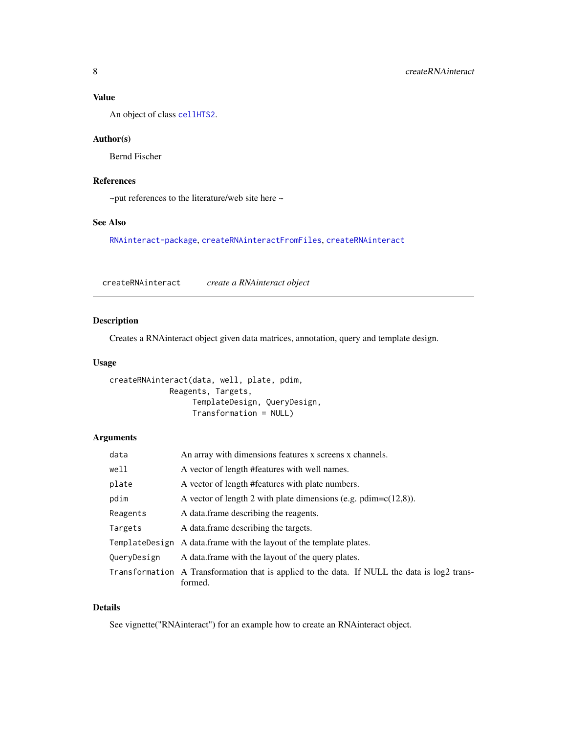# <span id="page-7-0"></span>Value

An object of class [cellHTS2](#page-0-0).

#### Author(s)

Bernd Fischer

# References

~put references to the literature/web site here ~

#### See Also

[RNAinteract-package](#page-1-2), [createRNAinteractFromFiles](#page-8-1), [createRNAinteract](#page-7-1)

<span id="page-7-1"></span>createRNAinteract *create a RNAinteract object*

# Description

Creates a RNAinteract object given data matrices, annotation, query and template design.

#### Usage

```
createRNAinteract(data, well, plate, pdim,
            Reagents, Targets,
                 TemplateDesign, QueryDesign,
                  Transformation = NULL)
```
# Arguments

| data        | An array with dimensions features x screens x channels.                                                 |
|-------------|---------------------------------------------------------------------------------------------------------|
| well        | A vector of length #features with well names.                                                           |
| plate       | A vector of length #features with plate numbers.                                                        |
| pdim        | A vector of length 2 with plate dimensions (e.g. pdim= $c(12,8)$ ).                                     |
| Reagents    | A data frame describing the reagents.                                                                   |
| Targets     | A data frame describing the targets.                                                                    |
|             | TemplateDesign A data.frame with the layout of the template plates.                                     |
| QueryDesign | A data frame with the layout of the query plates.                                                       |
|             | Transformation A Transformation that is applied to the data. If NULL the data is log2 trans-<br>formed. |

# Details

See vignette("RNAinteract") for an example how to create an RNAinteract object.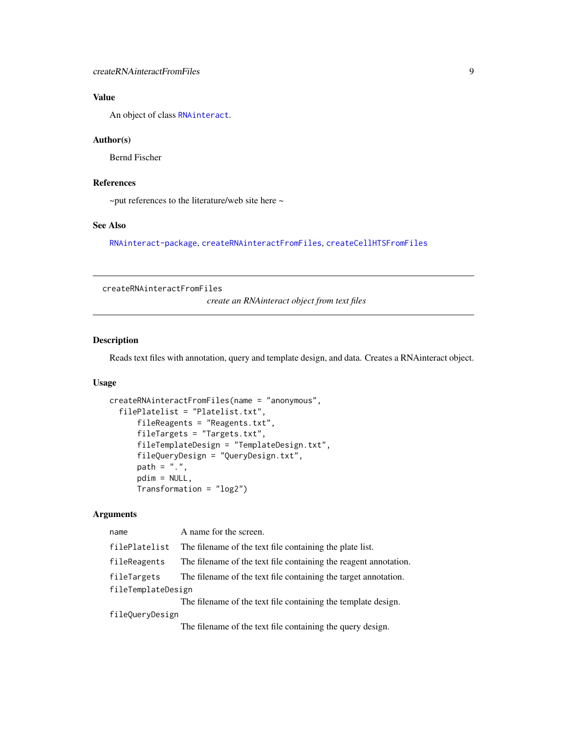# <span id="page-8-0"></span>Value

An object of class [RNAinteract](#page-1-1).

#### Author(s)

Bernd Fischer

# References

 $\sim$ put references to the literature/web site here  $\sim$ 

# See Also

[RNAinteract-package](#page-1-2), [createRNAinteractFromFiles](#page-8-1), [createCellHTSFromFiles](#page-6-1)

<span id="page-8-1"></span>createRNAinteractFromFiles

*create an RNAinteract object from text files*

#### Description

Reads text files with annotation, query and template design, and data. Creates a RNAinteract object.

# Usage

```
createRNAinteractFromFiles(name = "anonymous",
  filePlatelist = "Platelist.txt",
      fileReagents = "Reagents.txt",
      fileTargets = "Targets.txt",
      fileTemplateDesign = "TemplateDesign.txt",
      fileQueryDesign = "QueryDesign.txt",
      path = ".'',pdim = NULL,
      Transformation = "log2")
```
# Arguments

| name               | A name for the screen.                                                                                                                                                                                                                                                                        |
|--------------------|-----------------------------------------------------------------------------------------------------------------------------------------------------------------------------------------------------------------------------------------------------------------------------------------------|
| filePlatelist      | The filename of the text file containing the plate list.                                                                                                                                                                                                                                      |
| fileReagents       | The filename of the text file containing the reagent annotation.                                                                                                                                                                                                                              |
| fileTargets        | The filename of the text file containing the target annotation.                                                                                                                                                                                                                               |
| fileTemplateDesign |                                                                                                                                                                                                                                                                                               |
|                    | The filename of the text file containing the template design.                                                                                                                                                                                                                                 |
| fileQueryDesign    |                                                                                                                                                                                                                                                                                               |
|                    | $\tau$ , $\tau$ , $\tau$ , $\tau$ , $\tau$ , $\tau$ , $\tau$ , $\tau$ , $\tau$ , $\tau$ , $\tau$ , $\tau$ , $\tau$ , $\tau$ , $\tau$ , $\tau$ , $\tau$ , $\tau$ , $\tau$ , $\tau$ , $\tau$ , $\tau$ , $\tau$ , $\tau$ , $\tau$ , $\tau$ , $\tau$ , $\tau$ , $\tau$ , $\tau$ , $\tau$ , $\tau$ |

The filename of the text file containing the query design.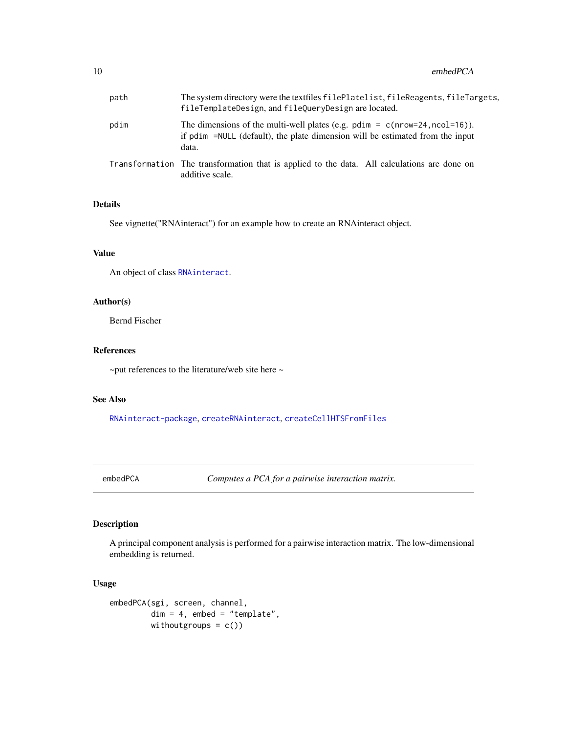<span id="page-9-0"></span>

| path | The system directory were the textfiles filePlatelist, fileReagents, fileTargets,<br>fileTemplateDesign, and fileQueryDesign are located.                               |
|------|-------------------------------------------------------------------------------------------------------------------------------------------------------------------------|
| pdim | The dimensions of the multi-well plates (e.g. pdim = $c(nrow=24, ncol=16)$ ).<br>if pdim =NULL (default), the plate dimension will be estimated from the input<br>data. |
|      | Transformation The transformation that is applied to the data. All calculations are done on<br>additive scale.                                                          |

# Details

See vignette("RNAinteract") for an example how to create an RNAinteract object.

#### Value

An object of class [RNAinteract](#page-1-1).

# Author(s)

Bernd Fischer

#### References

~put references to the literature/web site here ~

#### See Also

[RNAinteract-package](#page-1-2), [createRNAinteract](#page-7-1), [createCellHTSFromFiles](#page-6-1)

<span id="page-9-1"></span>embedPCA *Computes a PCA for a pairwise interaction matrix.*

# Description

A principal component analysis is performed for a pairwise interaction matrix. The low-dimensional embedding is returned.

```
embedPCA(sgi, screen, channel,
        dim = 4, embed = "template",
        withoutgroups = c()
```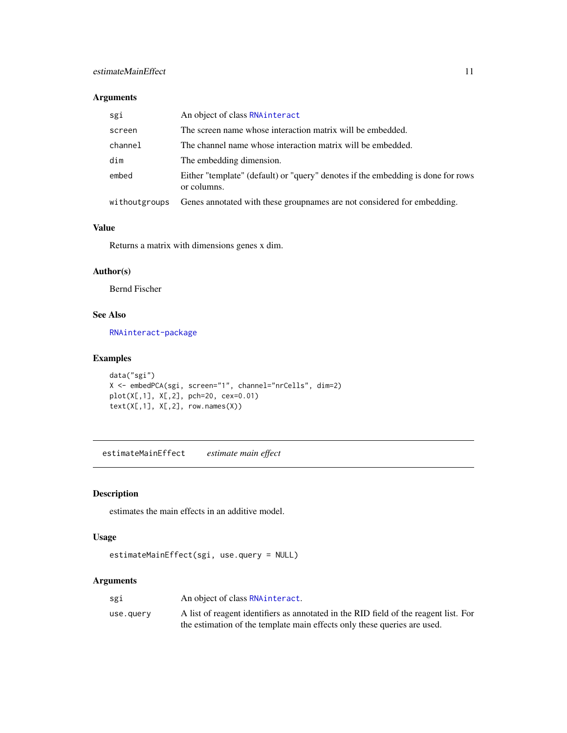<span id="page-10-0"></span>

| sgi           | An object of class RNAinteract                                                                  |
|---------------|-------------------------------------------------------------------------------------------------|
| screen        | The screen name whose interaction matrix will be embedded.                                      |
| channel       | The channel name whose interaction matrix will be embedded.                                     |
| dim           | The embedding dimension.                                                                        |
| embed         | Either "template" (default) or "query" denotes if the embedding is done for rows<br>or columns. |
| withoutgroups | Genes annotated with these groupnames are not considered for embedding.                         |

#### Value

Returns a matrix with dimensions genes x dim.

# Author(s)

Bernd Fischer

# See Also

[RNAinteract-package](#page-1-2)

# Examples

```
data("sgi")
X <- embedPCA(sgi, screen="1", channel="nrCells", dim=2)
plot(X[,1], X[,2], pch=20, cex=0.01)
text(X[,1], X[,2], row.name(S))
```
<span id="page-10-1"></span>estimateMainEffect *estimate main effect*

#### Description

estimates the main effects in an additive model.

# Usage

```
estimateMainEffect(sgi, use.query = NULL)
```
# Arguments

| sgi       | An object of class RNA interact.                                                     |
|-----------|--------------------------------------------------------------------------------------|
| use.query | A list of reagent identifiers as annotated in the RID field of the reagent list. For |
|           | the estimation of the template main effects only these queries are used.             |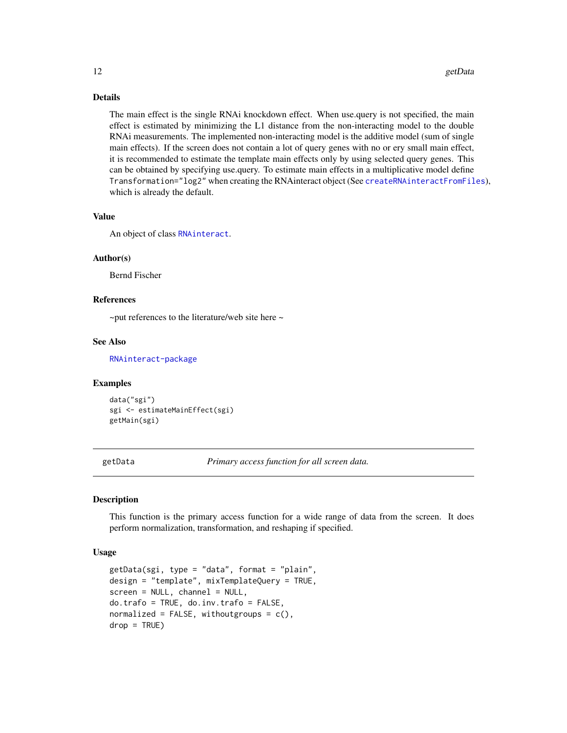#### Details

The main effect is the single RNAi knockdown effect. When use.query is not specified, the main effect is estimated by minimizing the L1 distance from the non-interacting model to the double RNAi measurements. The implemented non-interacting model is the additive model (sum of single main effects). If the screen does not contain a lot of query genes with no or ery small main effect, it is recommended to estimate the template main effects only by using selected query genes. This can be obtained by specifying use.query. To estimate main effects in a multiplicative model define Transformation="log2" when creating the RNAinteract object (See [createRNAinteractFromFiles](#page-8-1)), which is already the default.

#### Value

An object of class [RNAinteract](#page-1-1).

#### Author(s)

Bernd Fischer

#### References

 $\sim$ put references to the literature/web site here  $\sim$ 

#### See Also

[RNAinteract-package](#page-1-2)

#### Examples

data("sgi") sgi <- estimateMainEffect(sgi) getMain(sgi)

<span id="page-11-1"></span>getData *Primary access function for all screen data.*

#### Description

This function is the primary access function for a wide range of data from the screen. It does perform normalization, transformation, and reshaping if specified.

```
getData(sgi, type = "data", format = "plain",
design = "template", mixTemplateQuery = TRUE,
screen = NULL, channel = NULL,
do.trafo = TRUE, do.inv.trafo = FALSE,
normalized = FALSE, withoutgroups = c(),
drop = TRUE)
```
<span id="page-11-0"></span>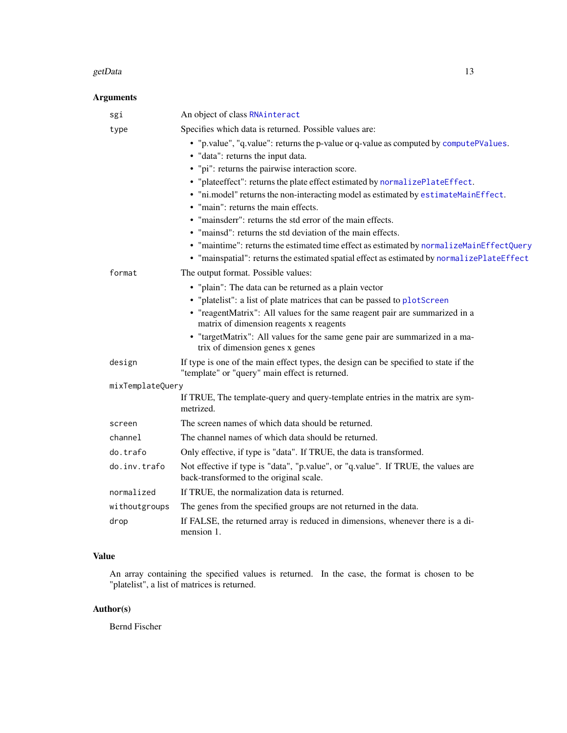#### getData 13

# Arguments

| sgi              | An object of class RNAinteract                                                                                                         |
|------------------|----------------------------------------------------------------------------------------------------------------------------------------|
| type             | Specifies which data is returned. Possible values are:                                                                                 |
|                  | • "p.value", "q.value": returns the p-value or q-value as computed by computePValues.<br>• "data": returns the input data.             |
|                  | • "pi": returns the pairwise interaction score.                                                                                        |
|                  | • "plateeffect": returns the plate effect estimated by normalizePlateEffect.                                                           |
|                  | . "ni.model" returns the non-interacting model as estimated by estimateMainEffect.                                                     |
|                  | • "main": returns the main effects.                                                                                                    |
|                  | • "mainsderr": returns the std error of the main effects.                                                                              |
|                  | • "mainsd": returns the std deviation of the main effects.                                                                             |
|                  | • "maintime": returns the estimated time effect as estimated by normalizeMainEffectQuery                                               |
|                  | • "mainspatial": returns the estimated spatial effect as estimated by normalizePlateEffect                                             |
| format           | The output format. Possible values:                                                                                                    |
|                  | • "plain": The data can be returned as a plain vector                                                                                  |
|                  | • "platelist": a list of plate matrices that can be passed to plotScreen                                                               |
|                  | • "reagentMatrix": All values for the same reagent pair are summarized in a                                                            |
|                  | matrix of dimension reagents x reagents                                                                                                |
|                  | • "targetMatrix": All values for the same gene pair are summarized in a ma-<br>trix of dimension genes x genes                         |
| design           | If type is one of the main effect types, the design can be specified to state if the<br>"template" or "query" main effect is returned. |
| mixTemplateQuery |                                                                                                                                        |
|                  | If TRUE, The template-query and query-template entries in the matrix are sym-<br>metrized.                                             |
| screen           | The screen names of which data should be returned.                                                                                     |
| channel          | The channel names of which data should be returned.                                                                                    |
| do.trafo         | Only effective, if type is "data". If TRUE, the data is transformed.                                                                   |
| do.inv.trafo     | Not effective if type is "data", "p.value", or "q.value". If TRUE, the values are<br>back-transformed to the original scale.           |
| normalized       | If TRUE, the normalization data is returned.                                                                                           |
| withoutgroups    | The genes from the specified groups are not returned in the data.                                                                      |
| drop             | If FALSE, the returned array is reduced in dimensions, whenever there is a di-<br>mension 1.                                           |

# Value

An array containing the specified values is returned. In the case, the format is chosen to be "platelist", a list of matrices is returned.

# Author(s)

Bernd Fischer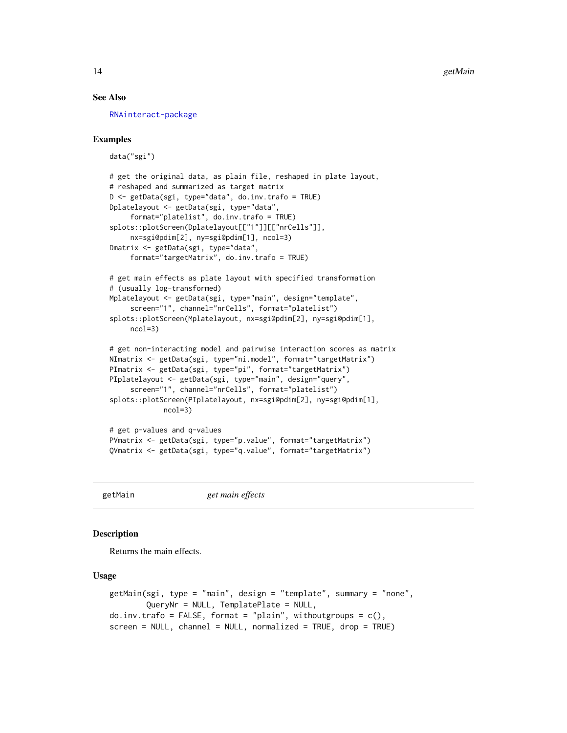#### See Also

[RNAinteract-package](#page-1-2)

#### Examples

data("sgi")

```
# get the original data, as plain file, reshaped in plate layout,
# reshaped and summarized as target matrix
D <- getData(sgi, type="data", do.inv.trafo = TRUE)
Dplatelayout <- getData(sgi, type="data",
     format="platelist", do.inv.trafo = TRUE)
splots::plotScreen(Dplatelayout[["1"]][["nrCells"]],
     nx=sgi@pdim[2], ny=sgi@pdim[1], ncol=3)
Dmatrix <- getData(sgi, type="data",
     format="targetMatrix", do.inv.trafo = TRUE)
# get main effects as plate layout with specified transformation
# (usually log-transformed)
Mplatelayout <- getData(sgi, type="main", design="template",
     screen="1", channel="nrCells", format="platelist")
splots::plotScreen(Mplatelayout, nx=sgi@pdim[2], ny=sgi@pdim[1],
     ncol=3)
# get non-interacting model and pairwise interaction scores as matrix
NImatrix <- getData(sgi, type="ni.model", format="targetMatrix")
PImatrix <- getData(sgi, type="pi", format="targetMatrix")
PIplatelayout <- getData(sgi, type="main", design="query",
     screen="1", channel="nrCells", format="platelist")
splots::plotScreen(PIplatelayout, nx=sgi@pdim[2], ny=sgi@pdim[1],
             ncol=3)
# get p-values and q-values
```

```
PVmatrix <- getData(sgi, type="p.value", format="targetMatrix")
QVmatrix <- getData(sgi, type="q.value", format="targetMatrix")
```
<span id="page-13-1"></span>getMain *get main effects*

#### <span id="page-13-2"></span>**Description**

Returns the main effects.

```
getMain(sgi, type = "main", design = "template", summary = "none",
        QueryNr = NULL, TemplatePlate = NULL,
do.inv.trafo = FALSE, format = "plain", withoutgroups = c(),
screen = NULL, channel = NULL, normalized = TRUE, drop = TRUE)
```
<span id="page-13-0"></span>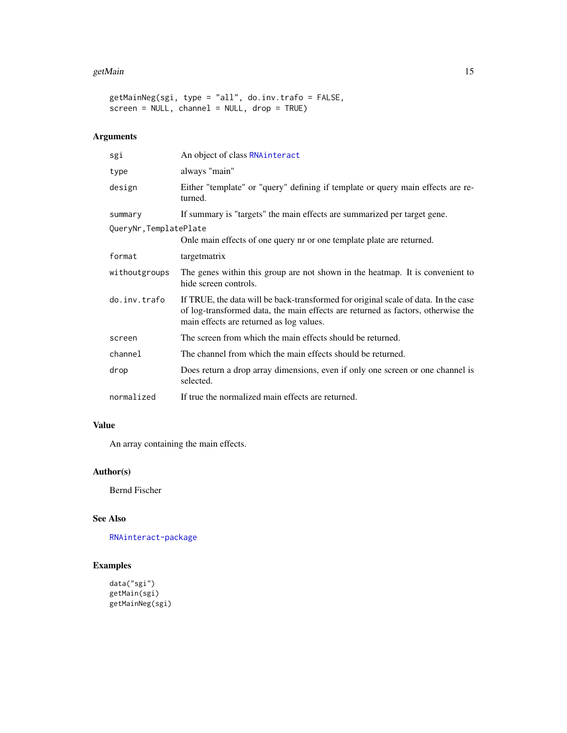#### getMain 15

```
getMainNeg(sgi, type = "all", do.inv.trafo = FALSE,
screen = NULL, channel = NULL, drop = TRUE)
```
# Arguments

| sgi                   | An object of class RNAinteract                                                                                                                                                                                     |
|-----------------------|--------------------------------------------------------------------------------------------------------------------------------------------------------------------------------------------------------------------|
| type                  | always "main"                                                                                                                                                                                                      |
| design                | Either "template" or "query" defining if template or query main effects are re-<br>turned.                                                                                                                         |
| summary               | If summary is "targets" the main effects are summarized per target gene.                                                                                                                                           |
| QueryNr,TemplatePlate |                                                                                                                                                                                                                    |
|                       | Onle main effects of one query nr or one template plate are returned.                                                                                                                                              |
| format                | targetmatrix                                                                                                                                                                                                       |
| withoutgroups         | The genes within this group are not shown in the heatmap. It is convenient to<br>hide screen controls.                                                                                                             |
| do.inv.trafo          | If TRUE, the data will be back-transformed for original scale of data. In the case<br>of log-transformed data, the main effects are returned as factors, otherwise the<br>main effects are returned as log values. |
| screen                | The screen from which the main effects should be returned.                                                                                                                                                         |
| channel               | The channel from which the main effects should be returned.                                                                                                                                                        |
| drop                  | Does return a drop array dimensions, even if only one screen or one channel is<br>selected.                                                                                                                        |
| normalized            | If true the normalized main effects are returned.                                                                                                                                                                  |

#### Value

An array containing the main effects.

# Author(s)

Bernd Fischer

# See Also

[RNAinteract-package](#page-1-2)

# Examples

```
data("sgi")
getMain(sgi)
getMainNeg(sgi)
```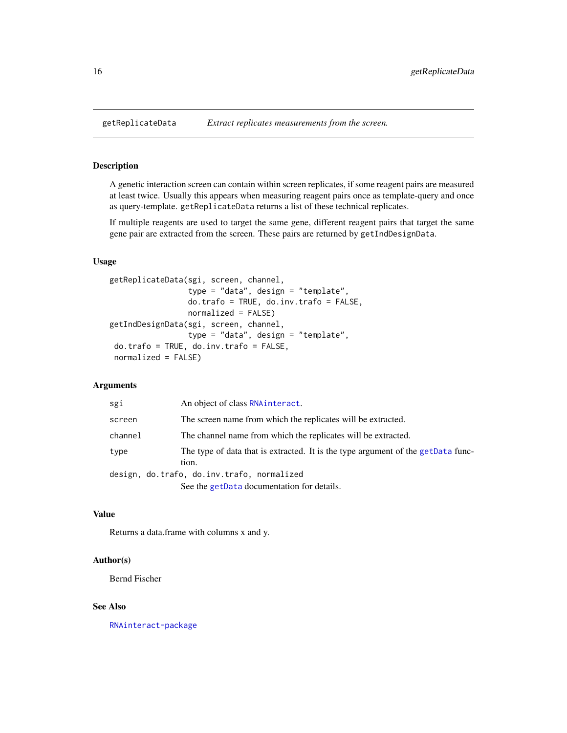#### <span id="page-15-2"></span>Description

A genetic interaction screen can contain within screen replicates, if some reagent pairs are measured at least twice. Usually this appears when measuring reagent pairs once as template-query and once as query-template. getReplicateData returns a list of these technical replicates.

If multiple reagents are used to target the same gene, different reagent pairs that target the same gene pair are extracted from the screen. These pairs are returned by getIndDesignData.

#### Usage

```
getReplicateData(sgi, screen, channel,
                 type = "data", design = "template",
                 do.trafo = TRUE, do.inv.trafo = FALSE,
                 normalized = FALSE)
getIndDesignData(sgi, screen, channel,
                 type = "data", design = "template",
do.trafo = TRUE, do.inv.trafo = FALSE,
normalized = FALSE)
```
#### Arguments

| sgi     | An object of class RNA interact.                                                          |
|---------|-------------------------------------------------------------------------------------------|
| screen  | The screen name from which the replicates will be extracted.                              |
| channel | The channel name from which the replicates will be extracted.                             |
| type    | The type of data that is extracted. It is the type argument of the getData func-<br>tion. |
|         | design, do.trafo, do.inv.trafo, normalized                                                |
|         | See the getData documentation for details.                                                |

# Value

Returns a data.frame with columns x and y.

# Author(s)

Bernd Fischer

#### See Also

[RNAinteract-package](#page-1-2)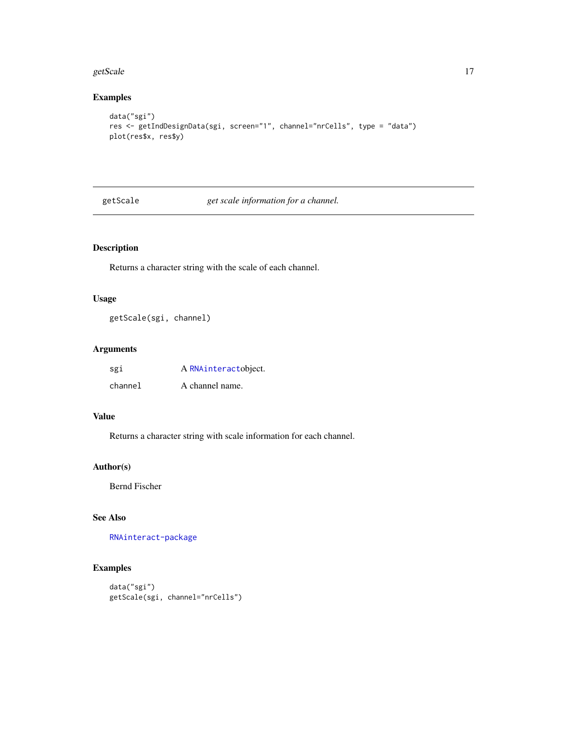#### <span id="page-16-0"></span>getScale 2012 and 2012 and 2012 and 2012 and 2012 and 2012 and 2012 and 2012 and 2012 and 2012 and 2012 and 20

#### Examples

```
data("sgi")
res <- getIndDesignData(sgi, screen="1", channel="nrCells", type = "data")
plot(res$x, res$y)
```
<span id="page-16-1"></span>getScale *get scale information for a channel.*

# Description

Returns a character string with the scale of each channel.

# Usage

getScale(sgi, channel)

# Arguments

| sgi     | A RNAinteractobject. |
|---------|----------------------|
| channel | A channel name.      |

# Value

Returns a character string with scale information for each channel.

#### Author(s)

Bernd Fischer

# See Also

[RNAinteract-package](#page-1-2)

# Examples

```
data("sgi")
getScale(sgi, channel="nrCells")
```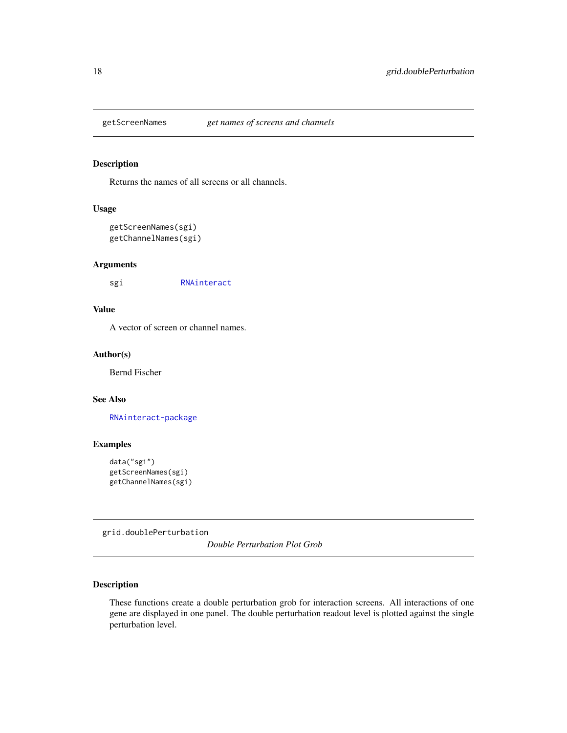<span id="page-17-2"></span><span id="page-17-0"></span>

#### <span id="page-17-1"></span>Description

Returns the names of all screens or all channels.

#### Usage

```
getScreenNames(sgi)
getChannelNames(sgi)
```
#### Arguments

sgi [RNAinteract](#page-1-1)

#### Value

A vector of screen or channel names.

#### Author(s)

Bernd Fischer

#### See Also

[RNAinteract-package](#page-1-2)

#### Examples

```
data("sgi")
getScreenNames(sgi)
getChannelNames(sgi)
```
<span id="page-17-4"></span>grid.doublePerturbation

*Double Perturbation Plot Grob*

#### <span id="page-17-3"></span>Description

These functions create a double perturbation grob for interaction screens. All interactions of one gene are displayed in one panel. The double perturbation readout level is plotted against the single perturbation level.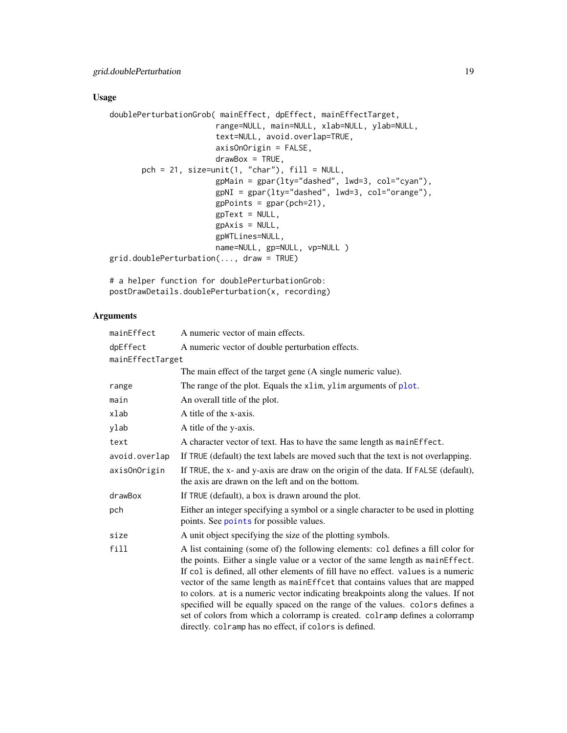# Usage

```
doublePerturbationGrob( mainEffect, dpEffect, mainEffectTarget,
                      range=NULL, main=NULL, xlab=NULL, ylab=NULL,
                       text=NULL, avoid.overlap=TRUE,
                       axisOnOrigin = FALSE,
                       drawBox = TRUE,pch = 21, size=unit(1, 'char'), fill = NULL,
                       gpMain = gpar(lty="dashed", lwd=3, col="cyan"),
                       gpNI = gpar(lty="dashed", lwd=3, col="orange"),
                       gpPoints = gpar(pch=21),
                       gpText = NULL,gpAxis = NULL,gpWTLines=NULL,
                       name=NULL, gp=NULL, vp=NULL )
grid.doublePerturbation(..., draw = TRUE)
```
# a helper function for doublePerturbationGrob: postDrawDetails.doublePerturbation(x, recording)

# Arguments

| mainEffect       | A numeric vector of main effects.                                                                                                                                                                                                                                                                                                                                                                                                                                                                                                                                                                                                                        |
|------------------|----------------------------------------------------------------------------------------------------------------------------------------------------------------------------------------------------------------------------------------------------------------------------------------------------------------------------------------------------------------------------------------------------------------------------------------------------------------------------------------------------------------------------------------------------------------------------------------------------------------------------------------------------------|
| dpEffect         | A numeric vector of double perturbation effects.                                                                                                                                                                                                                                                                                                                                                                                                                                                                                                                                                                                                         |
| mainEffectTarget |                                                                                                                                                                                                                                                                                                                                                                                                                                                                                                                                                                                                                                                          |
|                  | The main effect of the target gene (A single numeric value).                                                                                                                                                                                                                                                                                                                                                                                                                                                                                                                                                                                             |
| range            | The range of the plot. Equals the xlim, ylim arguments of plot.                                                                                                                                                                                                                                                                                                                                                                                                                                                                                                                                                                                          |
| main             | An overall title of the plot.                                                                                                                                                                                                                                                                                                                                                                                                                                                                                                                                                                                                                            |
| xlab             | A title of the x-axis.                                                                                                                                                                                                                                                                                                                                                                                                                                                                                                                                                                                                                                   |
| ylab             | A title of the y-axis.                                                                                                                                                                                                                                                                                                                                                                                                                                                                                                                                                                                                                                   |
| text             | A character vector of text. Has to have the same length as mainEffect.                                                                                                                                                                                                                                                                                                                                                                                                                                                                                                                                                                                   |
| avoid.overlap    | If TRUE (default) the text labels are moved such that the text is not overlapping.                                                                                                                                                                                                                                                                                                                                                                                                                                                                                                                                                                       |
| axisOnOrigin     | If TRUE, the x- and y-axis are draw on the origin of the data. If FALSE (default),<br>the axis are drawn on the left and on the bottom.                                                                                                                                                                                                                                                                                                                                                                                                                                                                                                                  |
| drawBox          | If TRUE (default), a box is drawn around the plot.                                                                                                                                                                                                                                                                                                                                                                                                                                                                                                                                                                                                       |
| pch              | Either an integer specifying a symbol or a single character to be used in plotting<br>points. See points for possible values.                                                                                                                                                                                                                                                                                                                                                                                                                                                                                                                            |
| size             | A unit object specifying the size of the plotting symbols.                                                                                                                                                                                                                                                                                                                                                                                                                                                                                                                                                                                               |
| fill             | A list containing (some of) the following elements: col defines a fill color for<br>the points. Either a single value or a vector of the same length as mainEffect.<br>If col is defined, all other elements of fill have no effect. values is a numeric<br>vector of the same length as mainEffcet that contains values that are mapped<br>to colors. at is a numeric vector indicating breakpoints along the values. If not<br>specified will be equally spaced on the range of the values. colors defines a<br>set of colors from which a colorramp is created. colramp defines a colorramp<br>directly. colramp has no effect, if colors is defined. |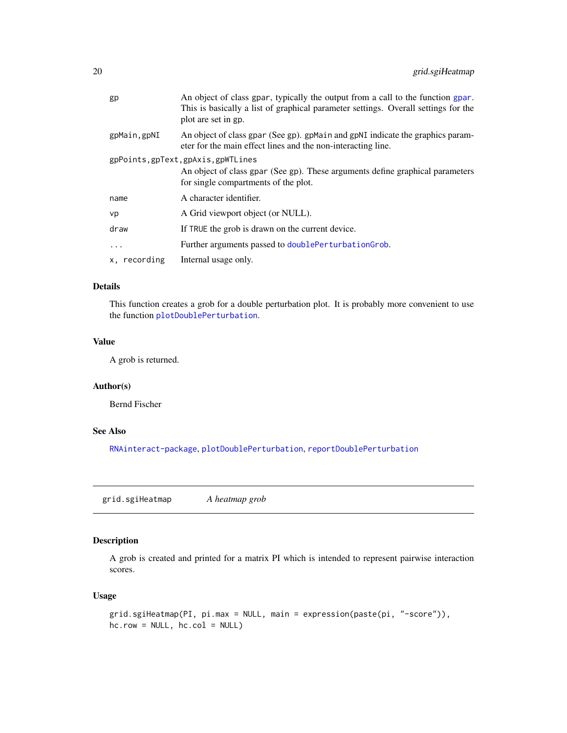<span id="page-19-0"></span>

| gp           | An object of class gpar, typically the output from a call to the function gpar.<br>This is basically a list of graphical parameter settings. Overall settings for the<br>plot are set in gp. |
|--------------|----------------------------------------------------------------------------------------------------------------------------------------------------------------------------------------------|
| gpMain, gpNI | An object of class gpar (See gp). gpMain and gpNI indicate the graphics param-<br>eter for the main effect lines and the non-interacting line.                                               |
|              | gpPoints,gpText,gpAxis,gpWTLines<br>An object of class gpar (See gp). These arguments define graphical parameters<br>for single compartments of the plot.                                    |
| name         | A character identifier.                                                                                                                                                                      |
| vp           | A Grid viewport object (or NULL).                                                                                                                                                            |
| draw         | If TRUE the grob is drawn on the current device.                                                                                                                                             |
| $\cdots$     | Further arguments passed to doublePerturbationGrob.                                                                                                                                          |
| x, recording | Internal usage only.                                                                                                                                                                         |
|              |                                                                                                                                                                                              |

#### Details

This function creates a grob for a double perturbation plot. It is probably more convenient to use the function [plotDoublePerturbation](#page-23-1).

#### Value

A grob is returned.

# Author(s)

Bernd Fischer

# See Also

[RNAinteract-package](#page-1-2), [plotDoublePerturbation](#page-23-1), [reportDoublePerturbation](#page-26-2)

<span id="page-19-1"></span>grid.sgiHeatmap *A heatmap grob*

#### Description

A grob is created and printed for a matrix PI which is intended to represent pairwise interaction scores.

```
grid.sgiHeatmap(PI, pi.max = NULL, main = expression(paste(pi, "-score")),
hc.row = NULL, hc.col = NULL)
```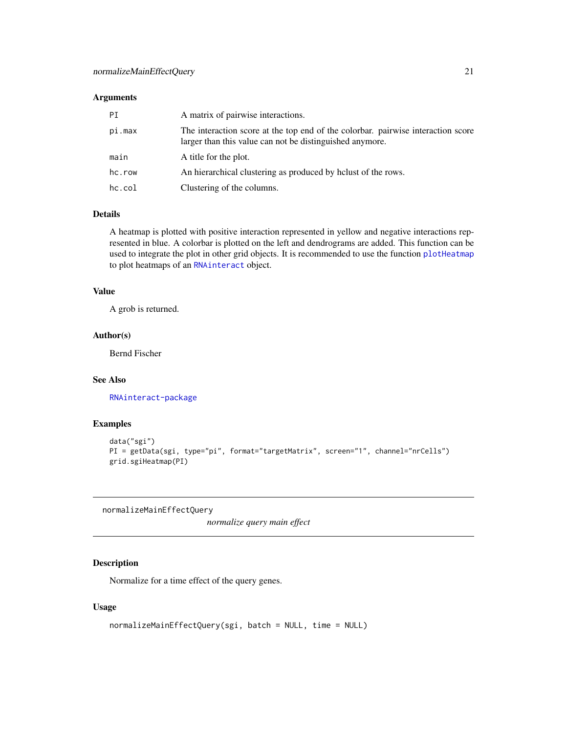<span id="page-20-0"></span>

| РT<br>A matrix of pairwise interactions.                                                                                                               |  |
|--------------------------------------------------------------------------------------------------------------------------------------------------------|--|
| The interaction score at the top end of the colorbar, pairwise interaction score<br>pi.max<br>larger than this value can not be distinguished anymore. |  |
| main<br>A title for the plot.                                                                                                                          |  |
| hc.row<br>An hierarchical clustering as produced by helust of the rows.                                                                                |  |
| hc.col<br>Clustering of the columns.                                                                                                                   |  |

# Details

A heatmap is plotted with positive interaction represented in yellow and negative interactions represented in blue. A colorbar is plotted on the left and dendrograms are added. This function can be used to integrate the plot in other grid objects. It is recommended to use the function [plotHeatmap](#page-25-1) to plot heatmaps of an [RNAinteract](#page-1-1) object.

#### Value

A grob is returned.

#### Author(s)

Bernd Fischer

# See Also

[RNAinteract-package](#page-1-2)

#### Examples

```
data("sgi")
PI = getData(sgi, type="pi", format="targetMatrix", screen="1", channel="nrCells")
grid.sgiHeatmap(PI)
```
<span id="page-20-1"></span>normalizeMainEffectQuery

*normalize query main effect*

# Description

Normalize for a time effect of the query genes.

```
normalizeMainEffectQuery(sgi, batch = NULL, time = NULL)
```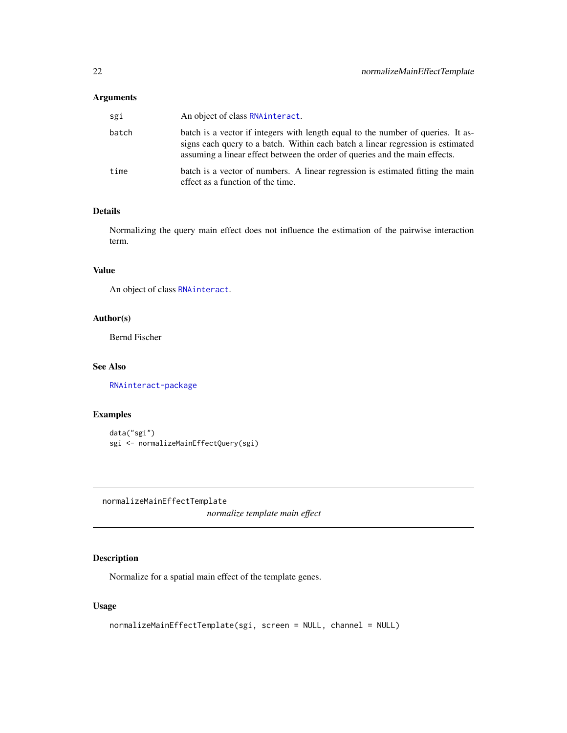<span id="page-21-0"></span>

| sgi   | An object of class RNA interact.                                                                                                                                                                                                                   |
|-------|----------------------------------------------------------------------------------------------------------------------------------------------------------------------------------------------------------------------------------------------------|
| batch | batch is a vector if integers with length equal to the number of queries. It as-<br>signs each query to a batch. Within each batch a linear regression is estimated<br>assuming a linear effect between the order of queries and the main effects. |
| time  | batch is a vector of numbers. A linear regression is estimated fitting the main<br>effect as a function of the time.                                                                                                                               |

#### Details

Normalizing the query main effect does not influence the estimation of the pairwise interaction term.

# Value

An object of class [RNAinteract](#page-1-1).

# Author(s)

Bernd Fischer

# See Also

[RNAinteract-package](#page-1-2)

# Examples

```
data("sgi")
sgi <- normalizeMainEffectQuery(sgi)
```
<span id="page-21-1"></span>normalizeMainEffectTemplate

*normalize template main effect*

# Description

Normalize for a spatial main effect of the template genes.

```
normalizeMainEffectTemplate(sgi, screen = NULL, channel = NULL)
```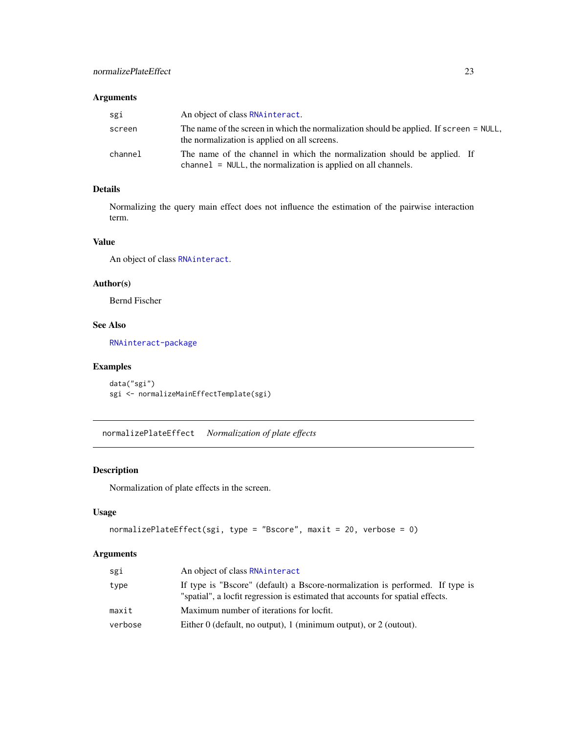<span id="page-22-0"></span>

| sgi     | An object of class RNA interact.                                                                                                             |
|---------|----------------------------------------------------------------------------------------------------------------------------------------------|
| screen  | The name of the screen in which the normalization should be applied. If screen = NULL,<br>the normalization is applied on all screens.       |
| channel | The name of the channel in which the normalization should be applied. If<br>$channel = NULL$ , the normalization is applied on all channels. |

# Details

Normalizing the query main effect does not influence the estimation of the pairwise interaction term.

# Value

An object of class [RNAinteract](#page-1-1).

# Author(s)

Bernd Fischer

# See Also

[RNAinteract-package](#page-1-2)

# Examples

```
data("sgi")
sgi <- normalizeMainEffectTemplate(sgi)
```
<span id="page-22-1"></span>normalizePlateEffect *Normalization of plate effects*

# Description

Normalization of plate effects in the screen.

# Usage

```
normalizePlateEffect(sgi, type = "Bscore", maxit = 20, verbose = 0)
```
# Arguments

| sgi     | An object of class RNAinteract                                                                                                                                  |
|---------|-----------------------------------------------------------------------------------------------------------------------------------------------------------------|
| type    | If type is "Bscore" (default) a Bscore-normalization is performed. If type is<br>"spatial", a locfit regression is estimated that accounts for spatial effects. |
| maxit   | Maximum number of iterations for locfit.                                                                                                                        |
| verbose | Either $0$ (default, no output), 1 (minimum output), or 2 (output).                                                                                             |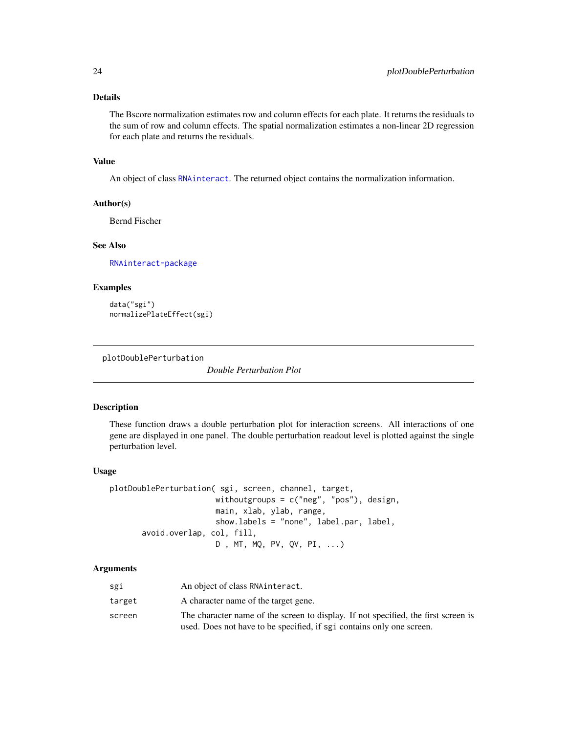#### <span id="page-23-0"></span>Details

The Bscore normalization estimates row and column effects for each plate. It returns the residuals to the sum of row and column effects. The spatial normalization estimates a non-linear 2D regression for each plate and returns the residuals.

#### Value

An object of class [RNAinteract](#page-1-1). The returned object contains the normalization information.

#### Author(s)

Bernd Fischer

#### See Also

[RNAinteract-package](#page-1-2)

#### Examples

data("sgi") normalizePlateEffect(sgi)

<span id="page-23-1"></span>plotDoublePerturbation

*Double Perturbation Plot*

#### Description

These function draws a double perturbation plot for interaction screens. All interactions of one gene are displayed in one panel. The double perturbation readout level is plotted against the single perturbation level.

#### Usage

plotDoublePerturbation( sgi, screen, channel, target, withoutgroups = c("neg", "pos"), design, main, xlab, ylab, range, show.labels = "none", label.par, label, avoid.overlap, col, fill, D , MT, MQ, PV, QV, PI, ...)

#### Arguments

| sgi    | An object of class RNA interact.                                                   |
|--------|------------------------------------------------------------------------------------|
| target | A character name of the target gene.                                               |
| screen | The character name of the screen to display. If not specified, the first screen is |
|        | used. Does not have to be specified, if sgi contains only one screen.              |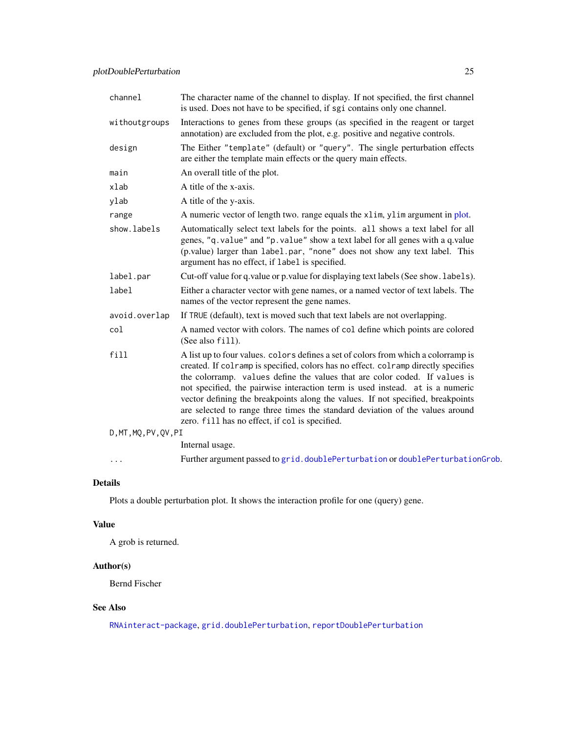| channel               | The character name of the channel to display. If not specified, the first channel<br>is used. Does not have to be specified, if sgi contains only one channel.                                                                                                                                                                                                                                                                                                                                                                                                |
|-----------------------|---------------------------------------------------------------------------------------------------------------------------------------------------------------------------------------------------------------------------------------------------------------------------------------------------------------------------------------------------------------------------------------------------------------------------------------------------------------------------------------------------------------------------------------------------------------|
| withoutgroups         | Interactions to genes from these groups (as specified in the reagent or target<br>annotation) are excluded from the plot, e.g. positive and negative controls.                                                                                                                                                                                                                                                                                                                                                                                                |
| design                | The Either "template" (default) or "query". The single perturbation effects<br>are either the template main effects or the query main effects.                                                                                                                                                                                                                                                                                                                                                                                                                |
| main                  | An overall title of the plot.                                                                                                                                                                                                                                                                                                                                                                                                                                                                                                                                 |
| xlab                  | A title of the x-axis.                                                                                                                                                                                                                                                                                                                                                                                                                                                                                                                                        |
| ylab                  | A title of the y-axis.                                                                                                                                                                                                                                                                                                                                                                                                                                                                                                                                        |
| range                 | A numeric vector of length two. range equals the xlim, ylim argument in plot.                                                                                                                                                                                                                                                                                                                                                                                                                                                                                 |
| show.labels           | Automatically select text labels for the points. all shows a text label for all<br>genes, "q.value" and "p.value" show a text label for all genes with a q.value<br>(p.value) larger than label.par, "none" does not show any text label. This<br>argument has no effect, if label is specified.                                                                                                                                                                                                                                                              |
| label.par             | Cut-off value for q.value or p.value for displaying text labels (See show. labels).                                                                                                                                                                                                                                                                                                                                                                                                                                                                           |
| label                 | Either a character vector with gene names, or a named vector of text labels. The<br>names of the vector represent the gene names.                                                                                                                                                                                                                                                                                                                                                                                                                             |
| avoid.overlap         | If TRUE (default), text is moved such that text labels are not overlapping.                                                                                                                                                                                                                                                                                                                                                                                                                                                                                   |
| col                   | A named vector with colors. The names of col define which points are colored<br>(See also fill).                                                                                                                                                                                                                                                                                                                                                                                                                                                              |
| fill                  | A list up to four values. colors defines a set of colors from which a colorramp is<br>created. If colramp is specified, colors has no effect. colramp directly specifies<br>the colorramp. values define the values that are color coded. If values is<br>not specified, the pairwise interaction term is used instead. at is a numeric<br>vector defining the breakpoints along the values. If not specified, breakpoints<br>are selected to range three times the standard deviation of the values around<br>zero. fill has no effect, if col is specified. |
| D, MT, MQ, PV, QV, PI |                                                                                                                                                                                                                                                                                                                                                                                                                                                                                                                                                               |
|                       | Internal usage.                                                                                                                                                                                                                                                                                                                                                                                                                                                                                                                                               |
| .                     | Further argument passed to grid.doublePerturbation or doublePerturbationGrob.                                                                                                                                                                                                                                                                                                                                                                                                                                                                                 |

# Details

Plots a double perturbation plot. It shows the interaction profile for one (query) gene.

# Value

A grob is returned.

# Author(s)

Bernd Fischer

# See Also

[RNAinteract-package](#page-1-2), [grid.doublePerturbation](#page-17-4), [reportDoublePerturbation](#page-26-2)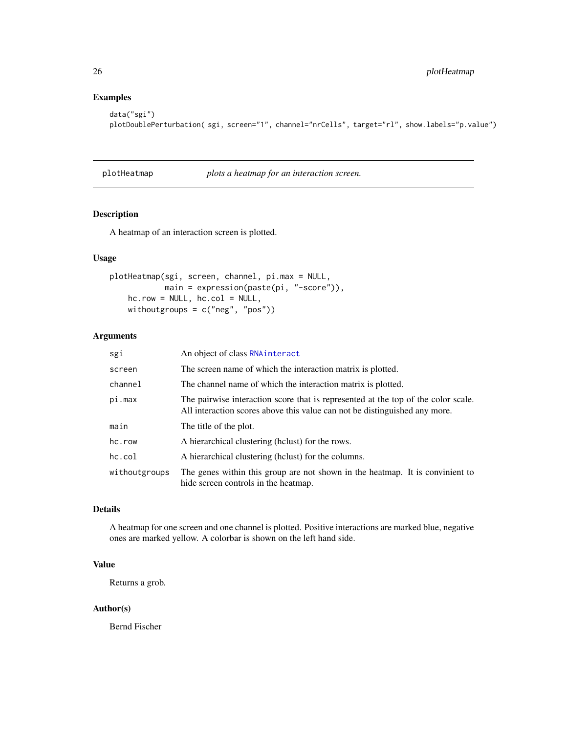# Examples

```
data("sgi")
plotDoublePerturbation( sgi, screen="1", channel="nrCells", target="rl", show.labels="p.value")
```
<span id="page-25-1"></span>plotHeatmap *plots a heatmap for an interaction screen.*

# Description

A heatmap of an interaction screen is plotted.

# Usage

```
plotHeatmap(sgi, screen, channel, pi.max = NULL,
            main = expression(paste(pi, "-score")),
   hc.row = NULL, hc.col = NULL,
   withoutgroups = c("neg", "pos"))
```
# Arguments

| sgi           | An object of class RNAinteract                                                                                                                                  |
|---------------|-----------------------------------------------------------------------------------------------------------------------------------------------------------------|
| screen        | The screen name of which the interaction matrix is plotted.                                                                                                     |
| channel       | The channel name of which the interaction matrix is plotted.                                                                                                    |
| pi.max        | The pairwise interaction score that is represented at the top of the color scale.<br>All interaction scores above this value can not be distinguished any more. |
| main          | The title of the plot.                                                                                                                                          |
| hc.row        | A hierarchical clustering (helust) for the rows.                                                                                                                |
| hc.col        | A hierarchical clustering (helust) for the columns.                                                                                                             |
| withoutgroups | The genes within this group are not shown in the heatmap. It is convinient to<br>hide screen controls in the heatmap.                                           |

# Details

A heatmap for one screen and one channel is plotted. Positive interactions are marked blue, negative ones are marked yellow. A colorbar is shown on the left hand side.

# Value

Returns a grob.

#### Author(s)

Bernd Fischer

<span id="page-25-0"></span>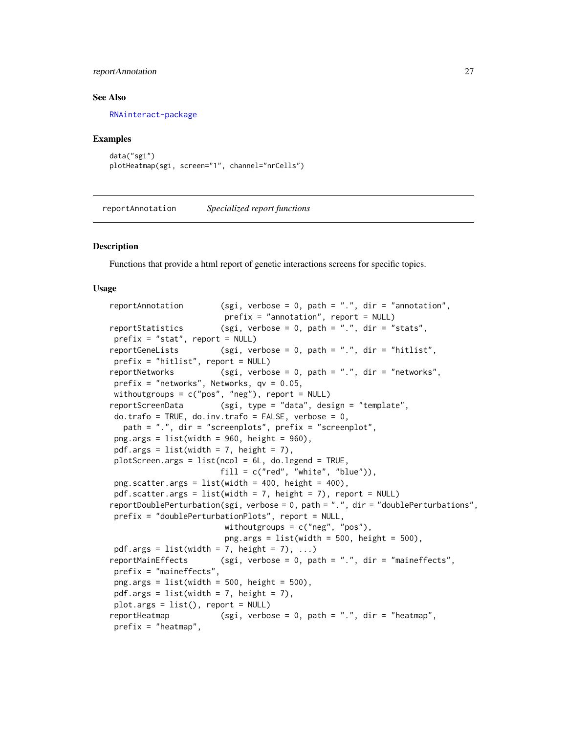#### <span id="page-26-0"></span>reportAnnotation 27

#### See Also

[RNAinteract-package](#page-1-2)

#### Examples

```
data("sgi")
plotHeatmap(sgi, screen="1", channel="nrCells")
```
<span id="page-26-1"></span>reportAnnotation *Specialized report functions*

#### <span id="page-26-2"></span>Description

Functions that provide a html report of genetic interactions screens for specific topics.

```
reportAnnotation (sgi, verbose = 0, path = ".", dir = "annotation",
                        prefix = "annotation", report = NULL)reportStatistics (sgi, verbose = 0, path = ".", dir = "stats",
prefix = "stat", report = NULL)reportGeneLists (sgi, verbose = 0, path = ".", dir = "hitlist",
prefix = "hitlist", report = NULL)
reportNetworks (sgi, verbose = 0, path = ".", dir = "networks",
prefix = "networks", Networks, qv = 0.05,
withoutgroups = c("pos", "neg"), report = NULL)
reportScreenData (sgi, type = "data", design = "template",
do.trafo = TRUE, do.inv.trafo = FALSE, verbose = 0,
  path = ".", dir = "screenplots", prefix = "screenplot",
png.args = list(width = 960, height = 960),
pdf.args = list(width = 7, height = 7),
plotscreen.args = list(ncol = 6L, do.legend = TRUE,
                       fill = c("red", "white", "blue")),
png.scatter.args = list(width = 400, height = 400),pdf.scatter.args = list(width = 7, height = 7), report = NULL)
reportDoublePerturbation(sgi, verbose = 0, path = ".", dir = "doublePerturbations",
prefix = "doublePerturbationPlots", report = NULL,
                        withoutgroups = c("neg", "pos"),
                        png.args = list(width = 500, height = 500),
pdf.args = list(width = 7, height = 7), ...reportMainEffects (sgi, verbose = 0, path = ".", dir = "maineffects",
prefix = "maineffects",
png.args = list(width = 500, height = 500),
pdf.args = list(width = 7, height = 7),
plot.args = list(), report = NULL)
reportHeatmap (sgi, verbose = 0, path = ".", dir = "heatmap",
prefix = "heatmap",
```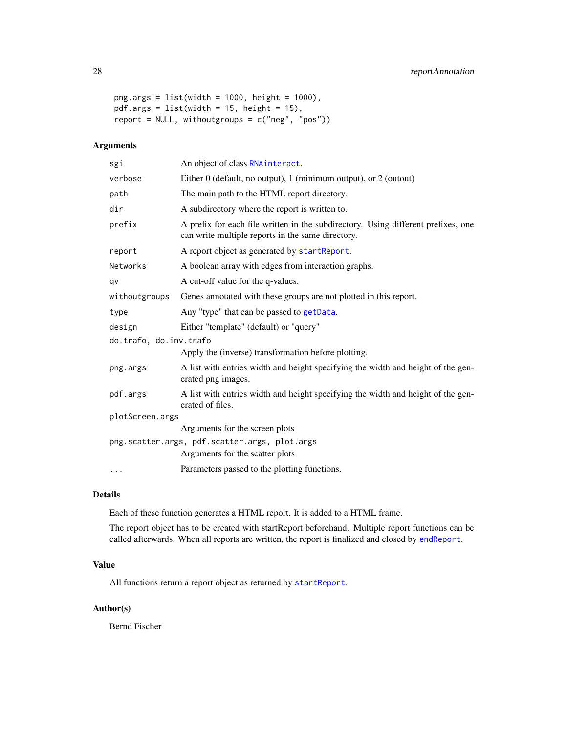```
png.args = list(width = 1000, height = 1000),
pdf.args = list(width = 15, height = 15),
report = NULL, withoutgroups = c("neg", "pos"))
```

| An object of class RNA interact.                                                                                                       |  |  |
|----------------------------------------------------------------------------------------------------------------------------------------|--|--|
| Either $0$ (default, no output), 1 (minimum output), or 2 (output)                                                                     |  |  |
| The main path to the HTML report directory.                                                                                            |  |  |
| A subdirectory where the report is written to.                                                                                         |  |  |
| A prefix for each file written in the subdirectory. Using different prefixes, one<br>can write multiple reports in the same directory. |  |  |
| A report object as generated by startReport.                                                                                           |  |  |
| A boolean array with edges from interaction graphs.                                                                                    |  |  |
| A cut-off value for the q-values.                                                                                                      |  |  |
| Genes annotated with these groups are not plotted in this report.                                                                      |  |  |
| Any "type" that can be passed to getData.                                                                                              |  |  |
| Either "template" (default) or "query"                                                                                                 |  |  |
| do.trafo, do.inv.trafo                                                                                                                 |  |  |
| Apply the (inverse) transformation before plotting.                                                                                    |  |  |
| A list with entries width and height specifying the width and height of the gen-<br>erated png images.                                 |  |  |
| A list with entries width and height specifying the width and height of the gen-<br>erated of files.                                   |  |  |
| plotScreen.args                                                                                                                        |  |  |
| Arguments for the screen plots                                                                                                         |  |  |
| png.scatter.args, pdf.scatter.args, plot.args<br>Arguments for the scatter plots                                                       |  |  |
| Parameters passed to the plotting functions.                                                                                           |  |  |
|                                                                                                                                        |  |  |

# Details

Each of these function generates a HTML report. It is added to a HTML frame.

The report object has to be created with startReport beforehand. Multiple report functions can be called afterwards. When all reports are written, the report is finalized and closed by [endReport](#page-32-3).

# Value

All functions return a report object as returned by [startReport](#page-32-2).

# Author(s)

Bernd Fischer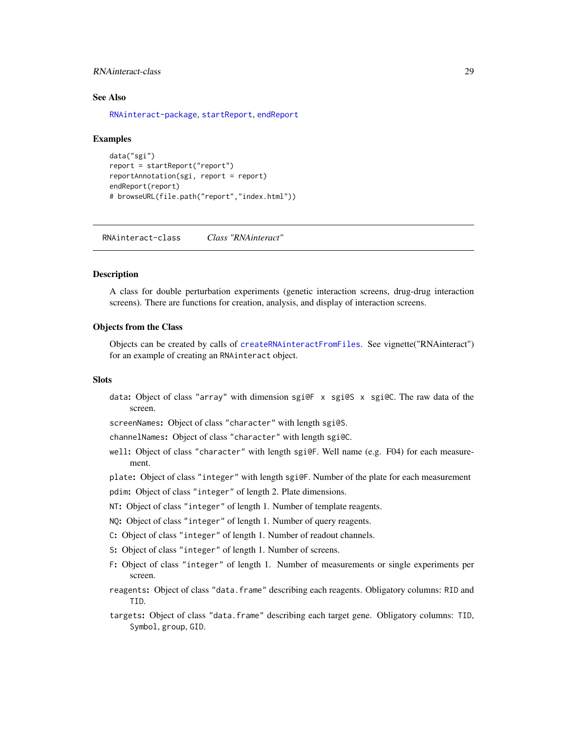#### <span id="page-28-0"></span>RNAinteract-class 29

#### See Also

[RNAinteract-package](#page-1-2), [startReport](#page-32-2), [endReport](#page-32-3)

#### Examples

```
data("sgi")
report = startReport("report")
reportAnnotation(sgi, report = report)
endReport(report)
# browseURL(file.path("report","index.html"))
```
<span id="page-28-1"></span>RNAinteract-class *Class "RNAinteract"*

#### **Description**

A class for double perturbation experiments (genetic interaction screens, drug-drug interaction screens). There are functions for creation, analysis, and display of interaction screens.

#### Objects from the Class

Objects can be created by calls of [createRNAinteractFromFiles](#page-8-1). See vignette("RNAinteract") for an example of creating an RNAinteract object.

#### **Slots**

data: Object of class "array" with dimension sgi@F x sgi@S x sgi@C. The raw data of the screen.

screenNames: Object of class "character" with length sgi@S.

channelNames: Object of class "character" with length sgi@C.

well: Object of class "character" with length sgi@F. Well name (e.g. F04) for each measurement.

plate: Object of class "integer" with length sgi@F. Number of the plate for each measurement

- pdim: Object of class "integer" of length 2. Plate dimensions.
- NT: Object of class "integer" of length 1. Number of template reagents.
- NQ: Object of class "integer" of length 1. Number of query reagents.
- C: Object of class "integer" of length 1. Number of readout channels.
- S: Object of class "integer" of length 1. Number of screens.
- F: Object of class "integer" of length 1. Number of measurements or single experiments per screen.
- reagents: Object of class "data.frame" describing each reagents. Obligatory columns: RID and TID.
- targets: Object of class "data.frame" describing each target gene. Obligatory columns: TID, Symbol, group, GID.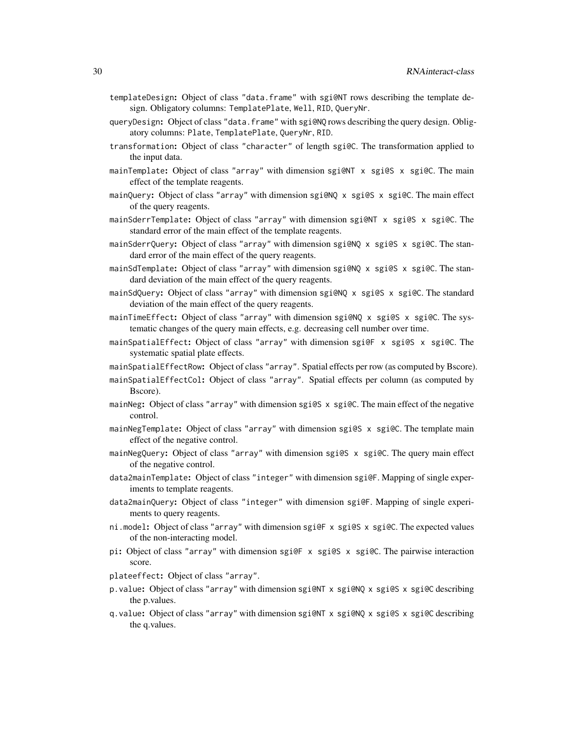- templateDesign: Object of class "data.frame" with sgi@NT rows describing the template design. Obligatory columns: TemplatePlate, Well, RID, QueryNr.
- queryDesign: Object of class "data.frame" with sgi@NQ rows describing the query design. Obligatory columns: Plate, TemplatePlate, QueryNr, RID.
- transformation: Object of class "character" of length sgi@C. The transformation applied to the input data.
- mainTemplate: Object of class "array" with dimension sgi@NT x sgi@S x sgi@C. The main effect of the template reagents.
- mainQuery: Object of class "array" with dimension sgi@NQ x sgi@S x sgi@C. The main effect of the query reagents.
- mainSderrTemplate: Object of class "array" with dimension sgi@NT x sgi@S x sgi@C. The standard error of the main effect of the template reagents.
- mainSderrQuery: Object of class "array" with dimension sgi@NQ x sgi@S x sgi@C. The standard error of the main effect of the query reagents.
- mainSdTemplate: Object of class "array" with dimension sgi@NQ x sgi@S x sgi@C. The standard deviation of the main effect of the query reagents.
- mainSdQuery: Object of class "array" with dimension sgi@NQ x sgi@S x sgi@C. The standard deviation of the main effect of the query reagents.
- mainTimeEffect: Object of class "array" with dimension sgi@NQ x sgi@S x sgi@C. The systematic changes of the query main effects, e.g. decreasing cell number over time.
- mainSpatialEffect: Object of class "array" with dimension sgi@F x sgi@S x sgi@C. The systematic spatial plate effects.
- mainSpatialEffectRow: Object of class "array". Spatial effects per row (as computed by Bscore).
- mainSpatialEffectCol: Object of class "array". Spatial effects per column (as computed by Bscore).
- mainNeg: Object of class "array" with dimension sgi@S x sgi@C. The main effect of the negative control.
- mainNegTemplate: Object of class "array" with dimension sgi@S x sgi@C. The template main effect of the negative control.
- mainNegQuery: Object of class "array" with dimension sgi@S x sgi@C. The query main effect of the negative control.
- data2mainTemplate: Object of class "integer" with dimension sgi@F. Mapping of single experiments to template reagents.
- data2mainQuery: Object of class "integer" with dimension sgi@F. Mapping of single experiments to query reagents.
- ni.model: Object of class "array" with dimension sgi@F x sgi@S x sgi@C. The expected values of the non-interacting model.
- pi: Object of class "array" with dimension sgi@F x sgi@S x sgi@C. The pairwise interaction score.
- plateeffect: Object of class "array".
- p.value: Object of class "array" with dimension sgi@NT x sgi@NQ x sgi@S x sgi@C describing the p.values.
- q.value: Object of class "array" with dimension sgi@NT x sgi@NQ x sgi@S x sgi@C describing the q.values.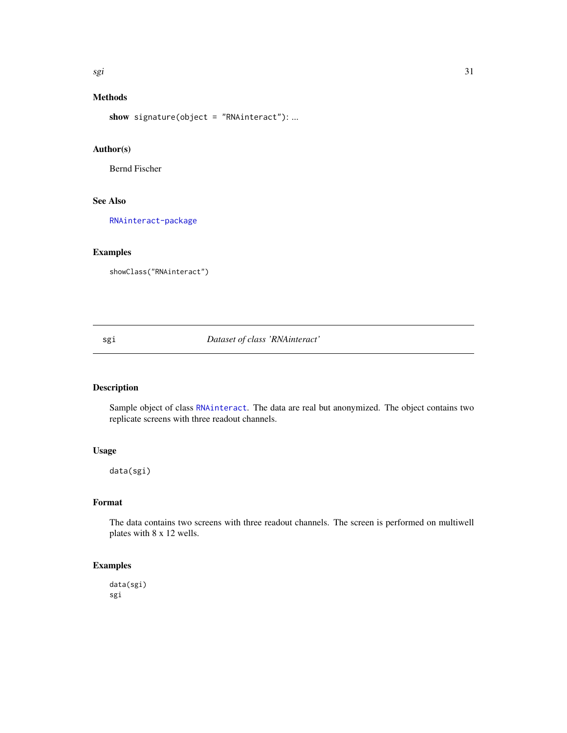<span id="page-30-0"></span>sgi 31

# Methods

show signature(object = "RNAinteract"): ...

# Author(s)

Bernd Fischer

#### See Also

[RNAinteract-package](#page-1-2)

# Examples

showClass("RNAinteract")

#### sgi *Dataset of class 'RNAinteract'*

# Description

Sample object of class [RNAinteract](#page-1-1). The data are real but anonymized. The object contains two replicate screens with three readout channels.

# Usage

data(sgi)

#### Format

The data contains two screens with three readout channels. The screen is performed on multiwell plates with 8 x 12 wells.

# Examples

data(sgi) sgi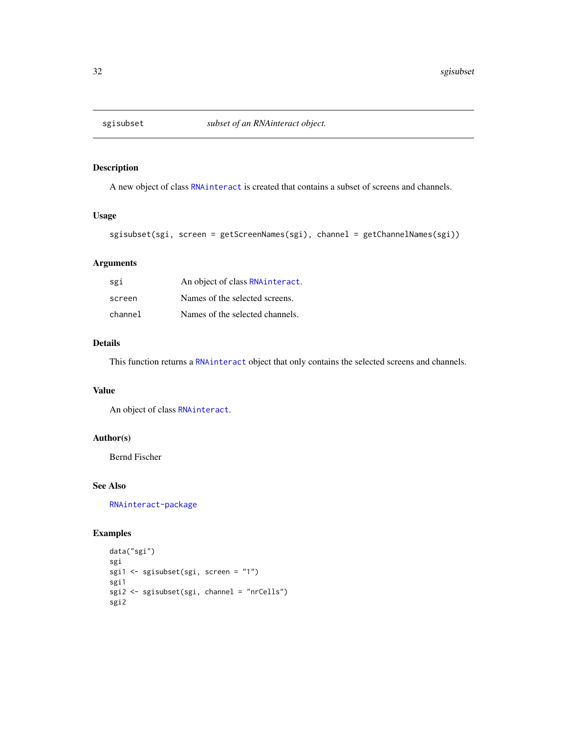<span id="page-31-1"></span><span id="page-31-0"></span>

# Description

A new object of class [RNAinteract](#page-1-1) is created that contains a subset of screens and channels.

#### Usage

```
sgisubset(sgi, screen = getScreenNames(sgi), channel = getChannelNames(sgi))
```
#### Arguments

| sgi     | An object of class RNA interact. |
|---------|----------------------------------|
| screen  | Names of the selected screens.   |
| channel | Names of the selected channels.  |

# Details

This function returns a [RNAinteract](#page-1-1) object that only contains the selected screens and channels.

#### Value

An object of class [RNAinteract](#page-1-1).

# Author(s)

Bernd Fischer

# See Also

[RNAinteract-package](#page-1-2)

# Examples

```
data("sgi")
sgi
sgi1 <- sgisubset(sgi, screen = "1")
sgi1
sgi2 <- sgisubset(sgi, channel = "nrCells")
sgi2
```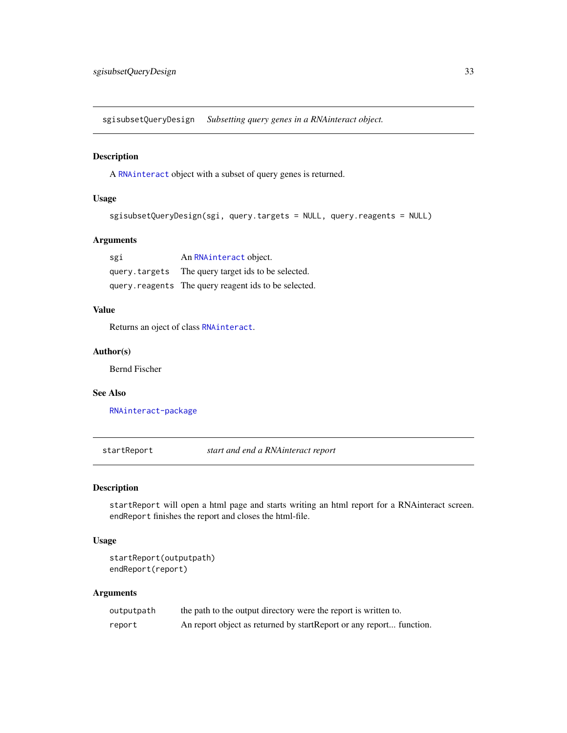<span id="page-32-1"></span><span id="page-32-0"></span>sgisubsetQueryDesign *Subsetting query genes in a RNAinteract object.*

#### Description

A [RNAinteract](#page-1-1) object with a subset of query genes is returned.

# Usage

```
sgisubsetQueryDesign(sgi, query.targets = NULL, query.reagents = NULL)
```
#### Arguments

| sgi | An RNAinteract object.                               |
|-----|------------------------------------------------------|
|     | query.targets The query target ids to be selected.   |
|     | query.reagents The query reagent ids to be selected. |

# Value

Returns an oject of class [RNAinteract](#page-1-1).

#### Author(s)

Bernd Fischer

#### See Also

[RNAinteract-package](#page-1-2)

<span id="page-32-2"></span>startReport *start and end a RNAinteract report*

# <span id="page-32-3"></span>Description

startReport will open a html page and starts writing an html report for a RNAinteract screen. endReport finishes the report and closes the html-file.

#### Usage

startReport(outputpath) endReport(report)

#### Arguments

| outputpath | the path to the output directory were the report is written to.      |
|------------|----------------------------------------------------------------------|
| report     | An report object as returned by start Report or any report function. |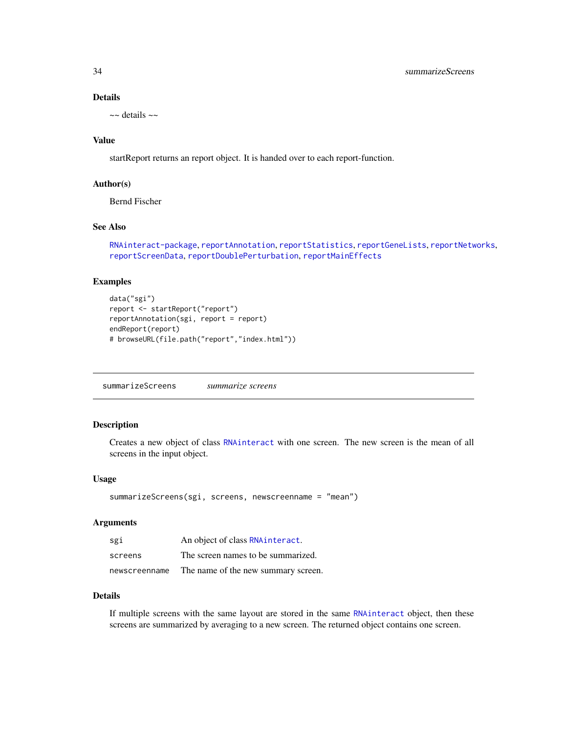# Details

 $\sim$  details  $\sim$ 

#### Value

startReport returns an report object. It is handed over to each report-function.

# Author(s)

Bernd Fischer

#### See Also

```
RNAinteract-package, reportAnnotation, reportStatistics, reportGeneLists, reportNetworks,
reportScreenData, reportDoublePerturbation, reportMainEffects
```
#### Examples

```
data("sgi")
report <- startReport("report")
reportAnnotation(sgi, report = report)
endReport(report)
# browseURL(file.path("report","index.html"))
```
<span id="page-33-1"></span>summarizeScreens *summarize screens*

#### Description

Creates a new object of class [RNAinteract](#page-1-1) with one screen. The new screen is the mean of all screens in the input object.

#### Usage

```
summarizeScreens(sgi, screens, newscreenname = "mean")
```
#### Arguments

| sgi           | An object of class RNAinteract.     |
|---------------|-------------------------------------|
| screens       | The screen names to be summarized.  |
| newscreenname | The name of the new summary screen. |

#### Details

If multiple screens with the same layout are stored in the same [RNAinteract](#page-1-1) object, then these screens are summarized by averaging to a new screen. The returned object contains one screen.

<span id="page-33-0"></span>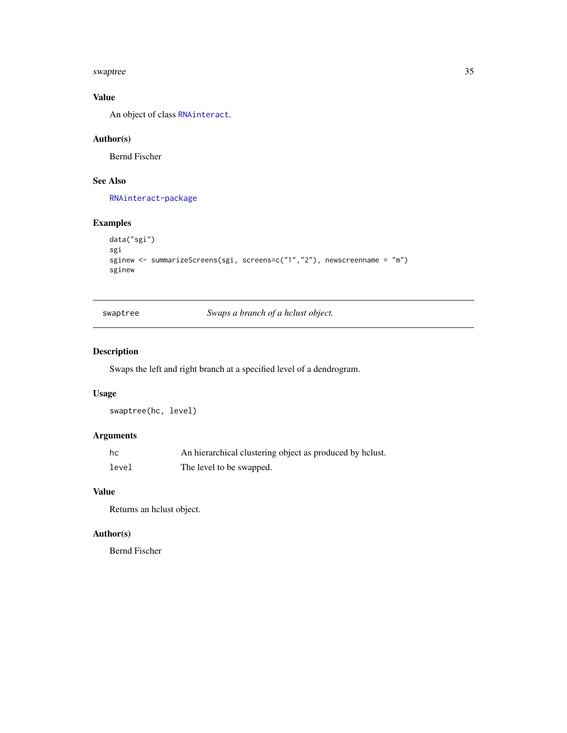<span id="page-34-0"></span>swaptree 35

# Value

An object of class [RNAinteract](#page-1-1).

# Author(s)

Bernd Fischer

# See Also

[RNAinteract-package](#page-1-2)

# Examples

```
data("sgi")
sgi
sginew <- summarizeScreens(sgi, screens=c("1","2"), newscreenname = "m")
sginew
```
swaptree *Swaps a branch of a hclust object.*

# Description

Swaps the left and right branch at a specified level of a dendrogram.

# Usage

```
swaptree(hc, level)
```
# Arguments

| hc    | An hierarchical clustering object as produced by helust. |
|-------|----------------------------------------------------------|
| level | The level to be swapped.                                 |

#### Value

Returns an hclust object.

# Author(s)

Bernd Fischer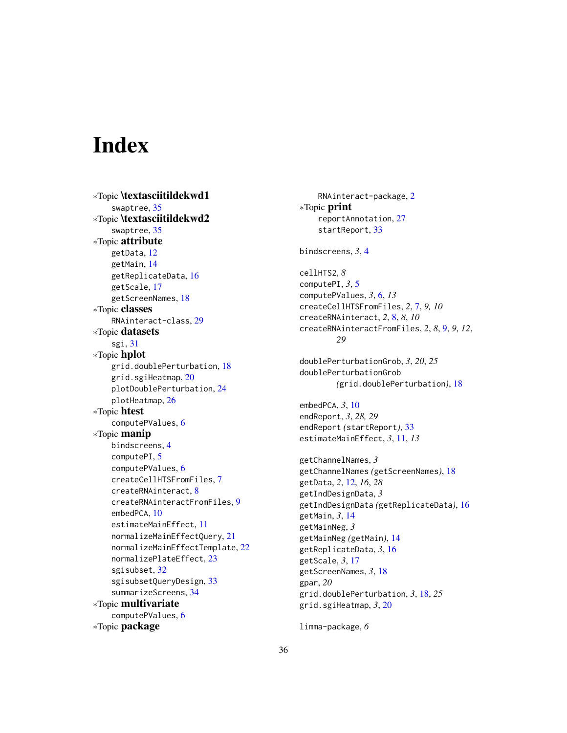# <span id="page-35-0"></span>**Index**

∗Topic \textasciitildekwd1 swaptree, [35](#page-34-0) ∗Topic \textasciitildekwd2 swaptree, [35](#page-34-0) ∗Topic attribute getData, [12](#page-11-0) getMain, [14](#page-13-0) getReplicateData, [16](#page-15-0) getScale, [17](#page-16-0) getScreenNames, [18](#page-17-0) ∗Topic classes RNAinteract-class, [29](#page-28-0) ∗Topic datasets sgi, [31](#page-30-0) ∗Topic hplot grid.doublePerturbation, [18](#page-17-0) grid.sgiHeatmap, [20](#page-19-0) plotDoublePerturbation, [24](#page-23-0) plotHeatmap, [26](#page-25-0) ∗Topic htest computePValues, [6](#page-5-0) ∗Topic manip bindscreens, [4](#page-3-0) computePI, [5](#page-4-0) computePValues, [6](#page-5-0) createCellHTSFromFiles, [7](#page-6-0) createRNAinteract, [8](#page-7-0) createRNAinteractFromFiles, [9](#page-8-0) embedPCA, [10](#page-9-0) estimateMainEffect, [11](#page-10-0) normalizeMainEffectQuery, [21](#page-20-0) normalizeMainEffectTemplate, [22](#page-21-0) normalizePlateEffect, [23](#page-22-0) sgisubset, [32](#page-31-0) sgisubsetQueryDesign, [33](#page-32-0) summarizeScreens, [34](#page-33-0) ∗Topic multivariate computePValues, [6](#page-5-0) ∗Topic package

RNAinteract-package, [2](#page-1-0) ∗Topic print reportAnnotation, [27](#page-26-0) startReport, [33](#page-32-0) bindscreens, *3*, [4](#page-3-0) cellHTS2, *8* computePI, *3*, [5](#page-4-0) computePValues, *3*, [6,](#page-5-0) *13* createCellHTSFromFiles, *2*, [7,](#page-6-0) *9, 10* createRNAinteract, *2*, [8,](#page-7-0) *8*, *10* createRNAinteractFromFiles, *2*, *8*, [9,](#page-8-0) *9*, *12*, *29* doublePerturbationGrob, *3*, *20*, *25* doublePerturbationGrob *(*grid.doublePerturbation*)*, [18](#page-17-0) embedPCA, *3*, [10](#page-9-0) endReport, *3*, *28, 29* endReport *(*startReport*)*, [33](#page-32-0) estimateMainEffect, *3*, [11,](#page-10-0) *13* getChannelNames, *3* getChannelNames *(*getScreenNames*)*, [18](#page-17-0) getData, *2*, [12,](#page-11-0) *16*, *28* getIndDesignData, *3* getIndDesignData *(*getReplicateData*)*, [16](#page-15-0) getMain, *3*, [14](#page-13-0) getMainNeg, *3* getMainNeg *(*getMain*)*, [14](#page-13-0) getReplicateData, *3*, [16](#page-15-0) getScale, *3*, [17](#page-16-0) getScreenNames, *3*, [18](#page-17-0) gpar, *20* grid.doublePerturbation, *3*, [18,](#page-17-0) *25* grid.sgiHeatmap, *3*, [20](#page-19-0)

limma-package, *6*